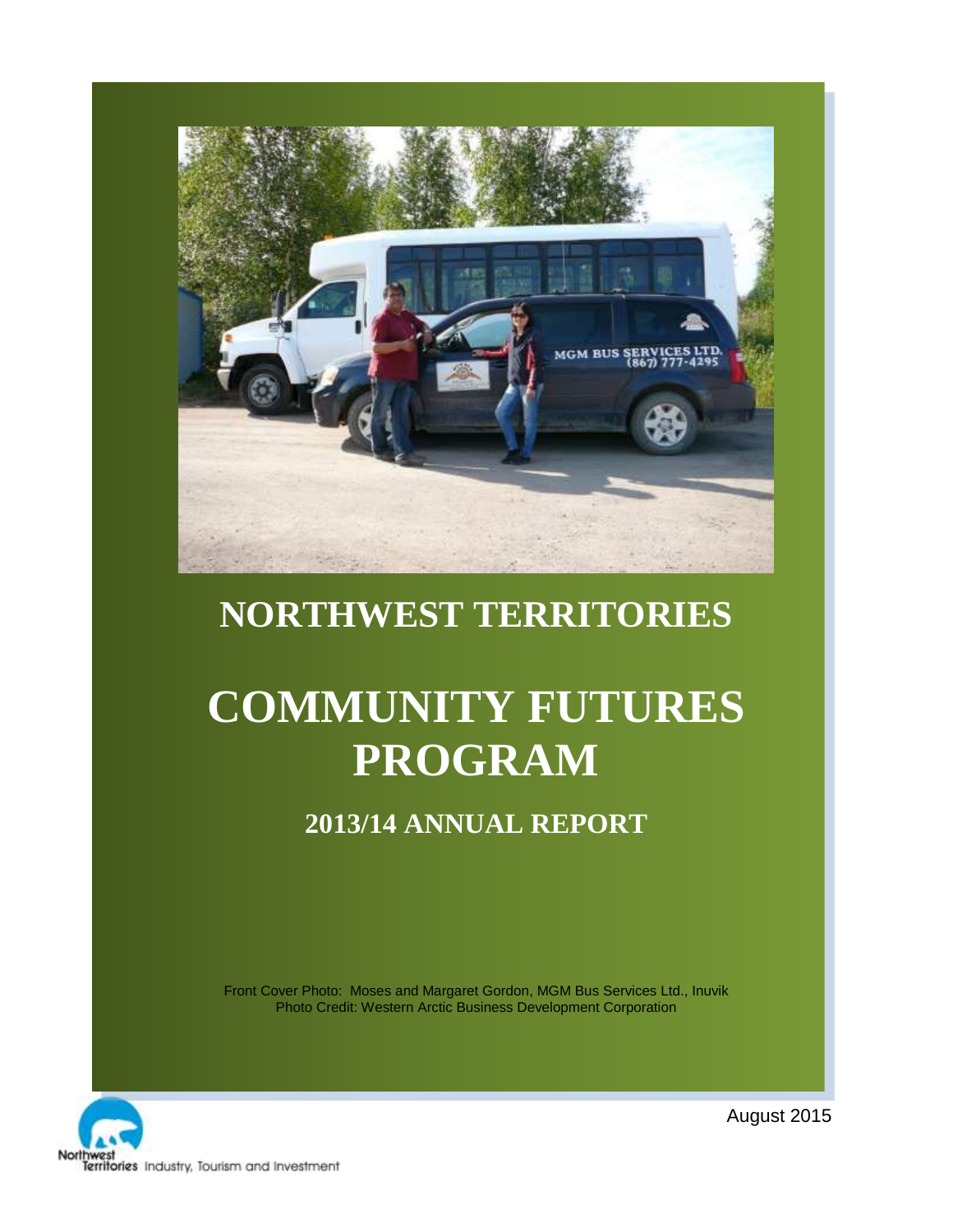

# **NORTHWEST TERRITORIES**

# **COMMUNITY FUTURES PROGRAM**

# **2013/14 ANNUAL REPORT**

Front Cover Photo: Moses and Margaret Gordon, MGM Bus Services Ltd., Inuvik Photo Credit: Western Arctic Business Development Corporation



August 2015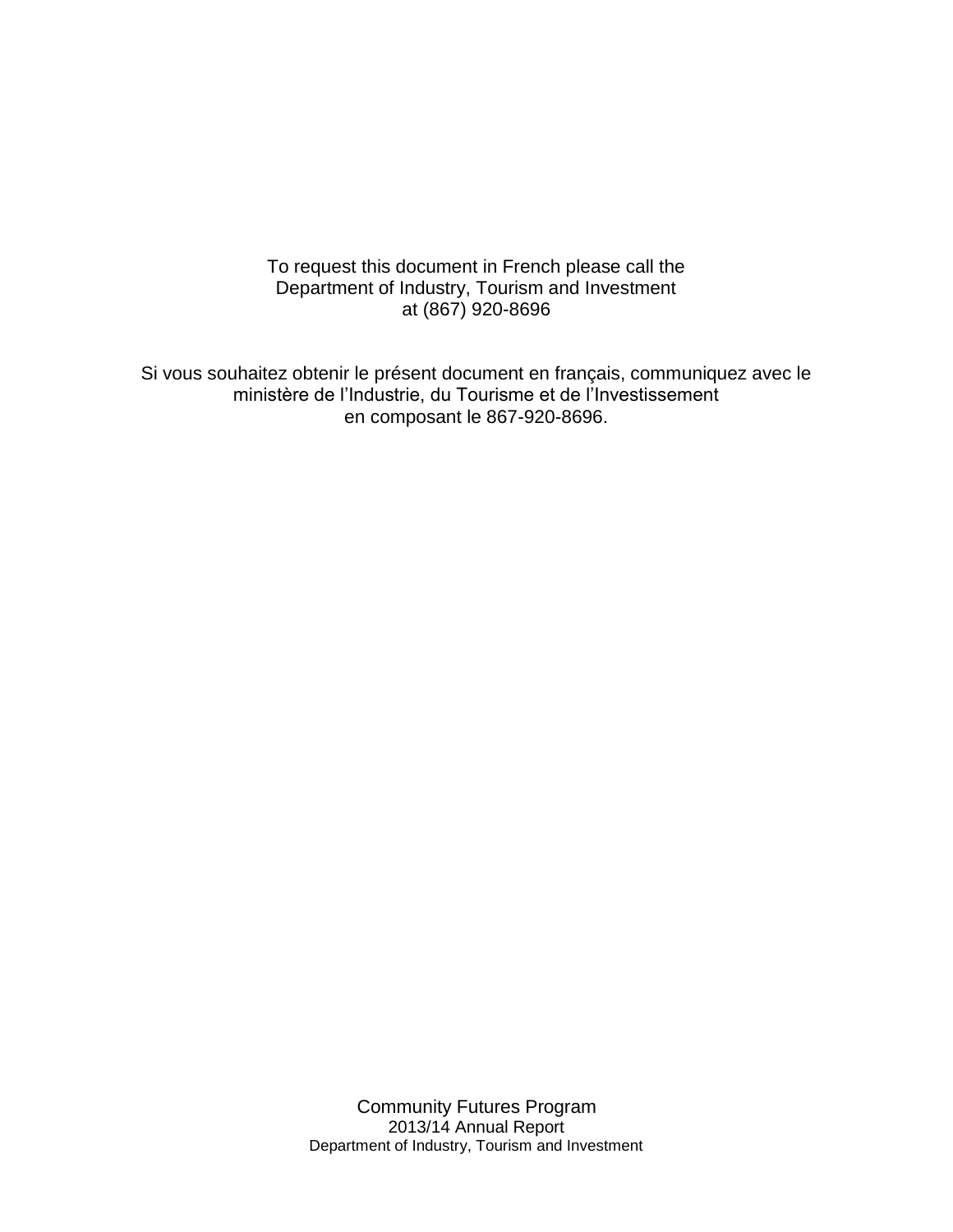To request this document in French please call the Department of Industry, Tourism and Investment at (867) 920-8696

Si vous souhaitez obtenir le présent document en français, communiquez avec le ministère de l'Industrie, du Tourisme et de l'Investissement en composant le 867-920-8696.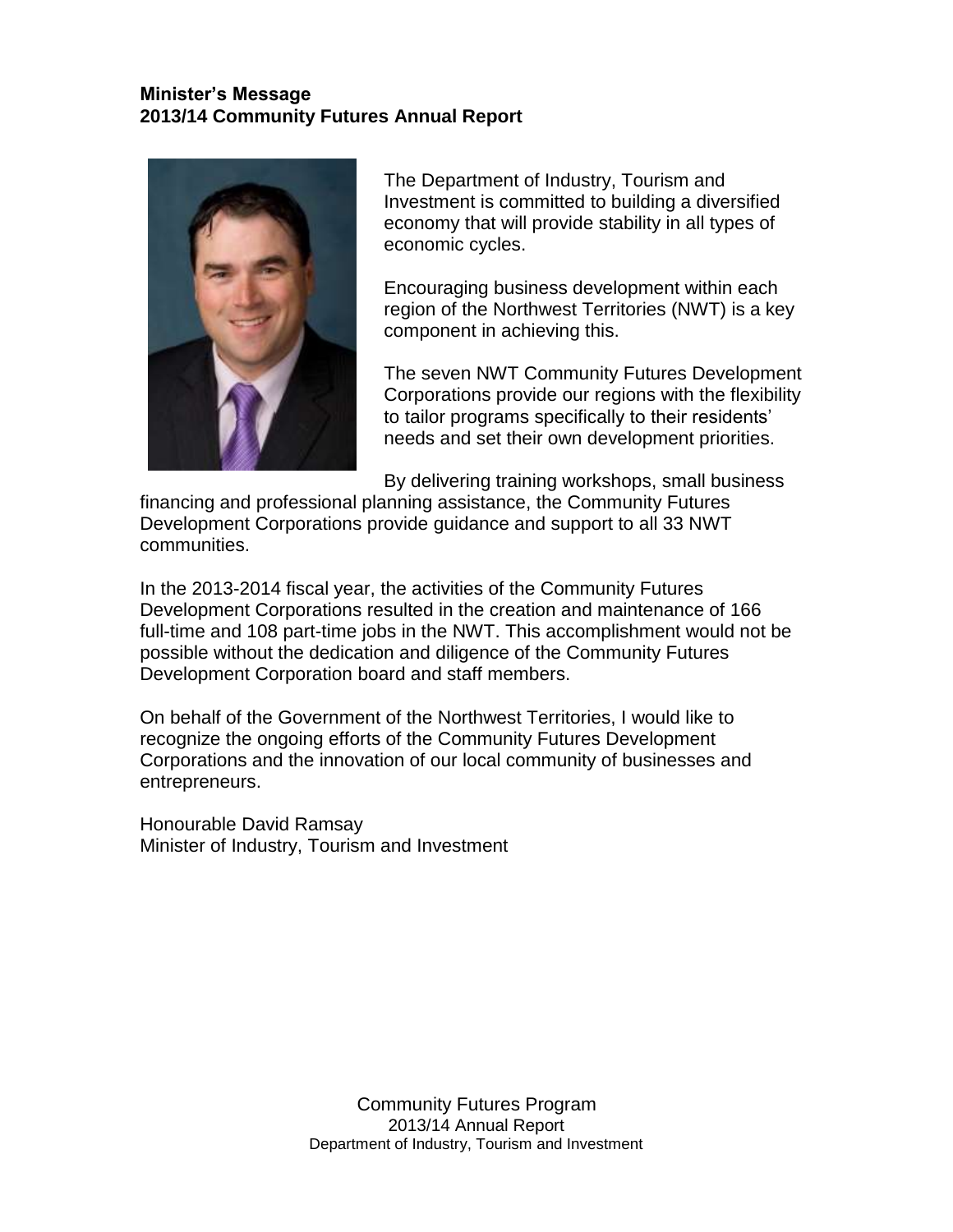#### **Minister's Message 2013/14 Community Futures Annual Report**



The Department of Industry, Tourism and Investment is committed to building a diversified economy that will provide stability in all types of economic cycles.

Encouraging business development within each region of the Northwest Territories (NWT) is a key component in achieving this.

The seven NWT Community Futures Development Corporations provide our regions with the flexibility to tailor programs specifically to their residents' needs and set their own development priorities.

By delivering training workshops, small business

financing and professional planning assistance, the Community Futures Development Corporations provide guidance and support to all 33 NWT communities.

In the 2013-2014 fiscal year, the activities of the Community Futures Development Corporations resulted in the creation and maintenance of 166 full-time and 108 part-time jobs in the NWT. This accomplishment would not be possible without the dedication and diligence of the Community Futures Development Corporation board and staff members.

On behalf of the Government of the Northwest Territories, I would like to recognize the ongoing efforts of the Community Futures Development Corporations and the innovation of our local community of businesses and entrepreneurs.

Honourable David Ramsay Minister of Industry, Tourism and Investment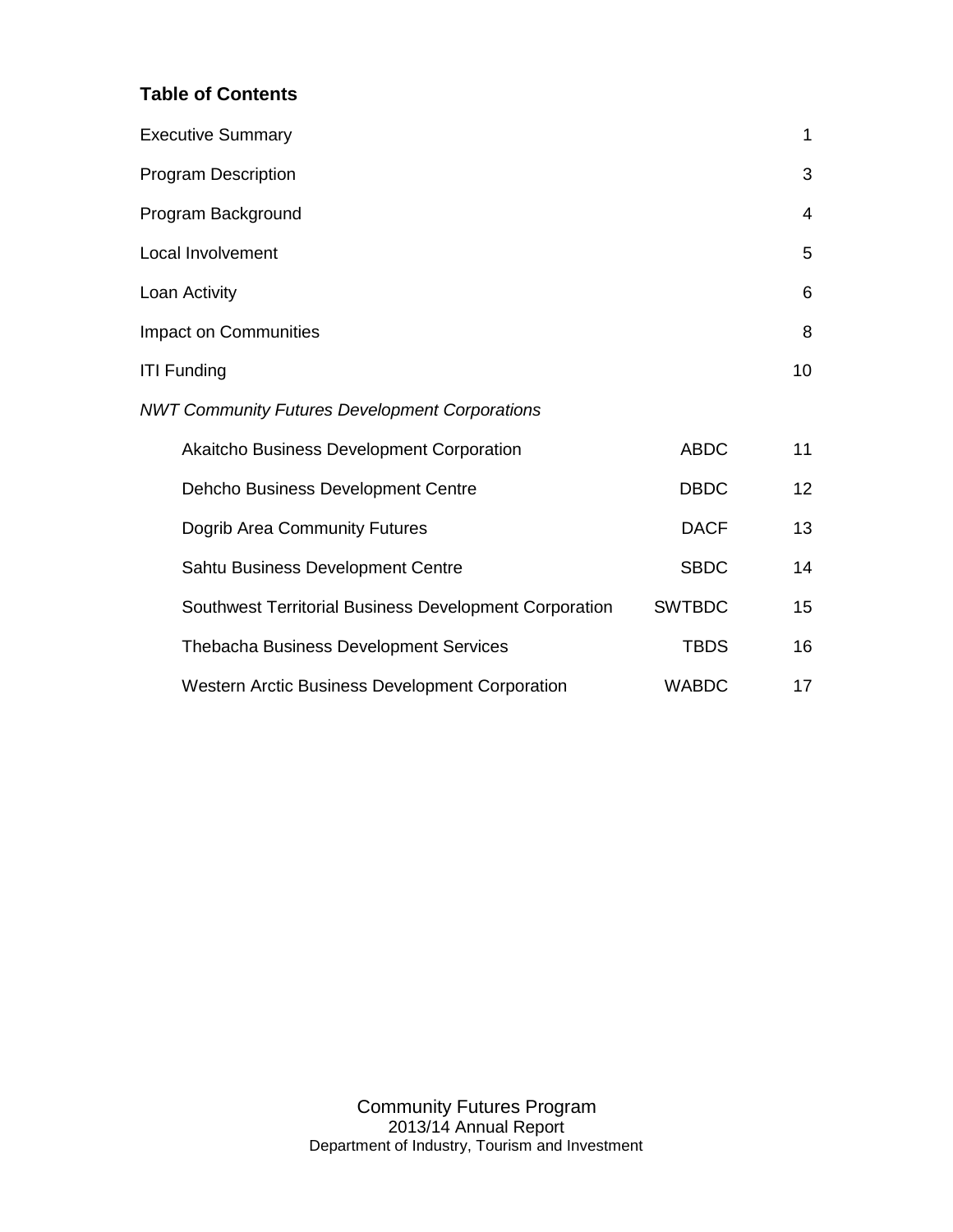#### **Table of Contents**

| <b>Executive Summary</b>                               |               | $\mathbf 1$ |
|--------------------------------------------------------|---------------|-------------|
| <b>Program Description</b>                             |               | 3           |
| Program Background                                     |               | 4           |
| Local Involvement                                      |               | 5           |
| Loan Activity                                          |               | 6           |
| <b>Impact on Communities</b>                           |               | 8           |
| <b>ITI Funding</b>                                     |               | 10          |
| <b>NWT Community Futures Development Corporations</b>  |               |             |
| Akaitcho Business Development Corporation              | <b>ABDC</b>   | 11          |
| Dehcho Business Development Centre                     | <b>DBDC</b>   | 12          |
| Dogrib Area Community Futures                          | <b>DACF</b>   | 13          |
| Sahtu Business Development Centre                      | <b>SBDC</b>   | 14          |
| Southwest Territorial Business Development Corporation | <b>SWTBDC</b> | 15          |
| <b>Thebacha Business Development Services</b>          | <b>TBDS</b>   | 16          |
| <b>Western Arctic Business Development Corporation</b> | <b>WABDC</b>  | 17          |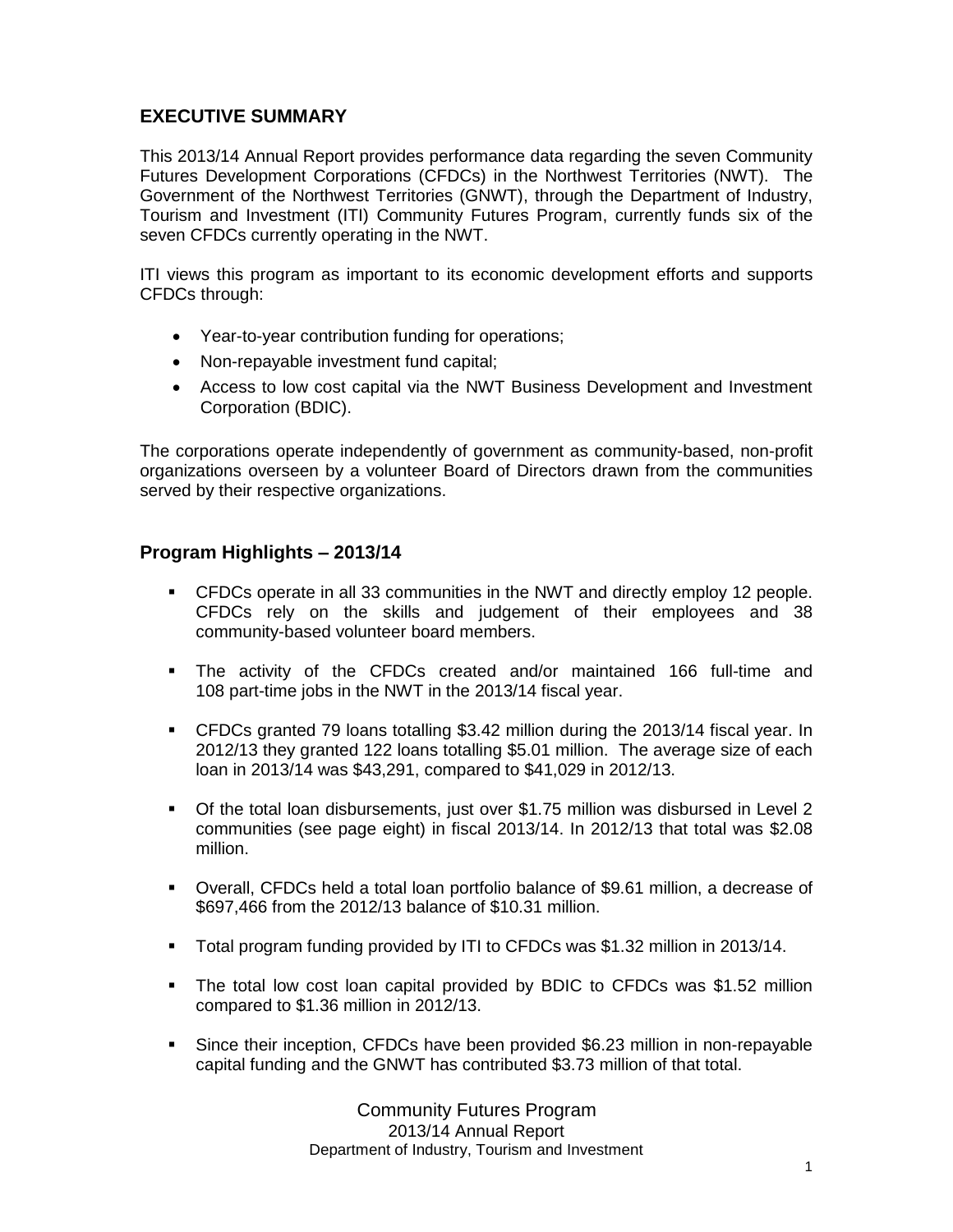#### **EXECUTIVE SUMMARY**

This 2013/14 Annual Report provides performance data regarding the seven Community Futures Development Corporations (CFDCs) in the Northwest Territories (NWT). The Government of the Northwest Territories (GNWT), through the Department of Industry, Tourism and Investment (ITI) Community Futures Program, currently funds six of the seven CFDCs currently operating in the NWT.

ITI views this program as important to its economic development efforts and supports CFDCs through:

- Year-to-year contribution funding for operations;
- Non-repayable investment fund capital;
- Access to low cost capital via the NWT Business Development and Investment Corporation (BDIC).

The corporations operate independently of government as community-based, non-profit organizations overseen by a volunteer Board of Directors drawn from the communities served by their respective organizations.

#### **Program Highlights – 2013/14**

- CFDCs operate in all 33 communities in the NWT and directly employ 12 people. CFDCs rely on the skills and judgement of their employees and 38 community-based volunteer board members.
- The activity of the CFDCs created and/or maintained 166 full-time and 108 part-time jobs in the NWT in the 2013/14 fiscal year.
- CFDCs granted 79 loans totalling \$3.42 million during the 2013/14 fiscal year. In 2012/13 they granted 122 loans totalling \$5.01 million. The average size of each loan in 2013/14 was \$43,291, compared to \$41,029 in 2012/13.
- Of the total loan disbursements, just over \$1.75 million was disbursed in Level 2 communities (see page eight) in fiscal 2013/14. In 2012/13 that total was \$2.08 million.
- Overall, CFDCs held a total loan portfolio balance of \$9.61 million, a decrease of \$697,466 from the 2012/13 balance of \$10.31 million.
- Total program funding provided by ITI to CFDCs was \$1.32 million in 2013/14.
- The total low cost loan capital provided by BDIC to CFDCs was \$1.52 million compared to \$1.36 million in 2012/13.
- Since their inception, CFDCs have been provided \$6.23 million in non-repayable capital funding and the GNWT has contributed \$3.73 million of that total.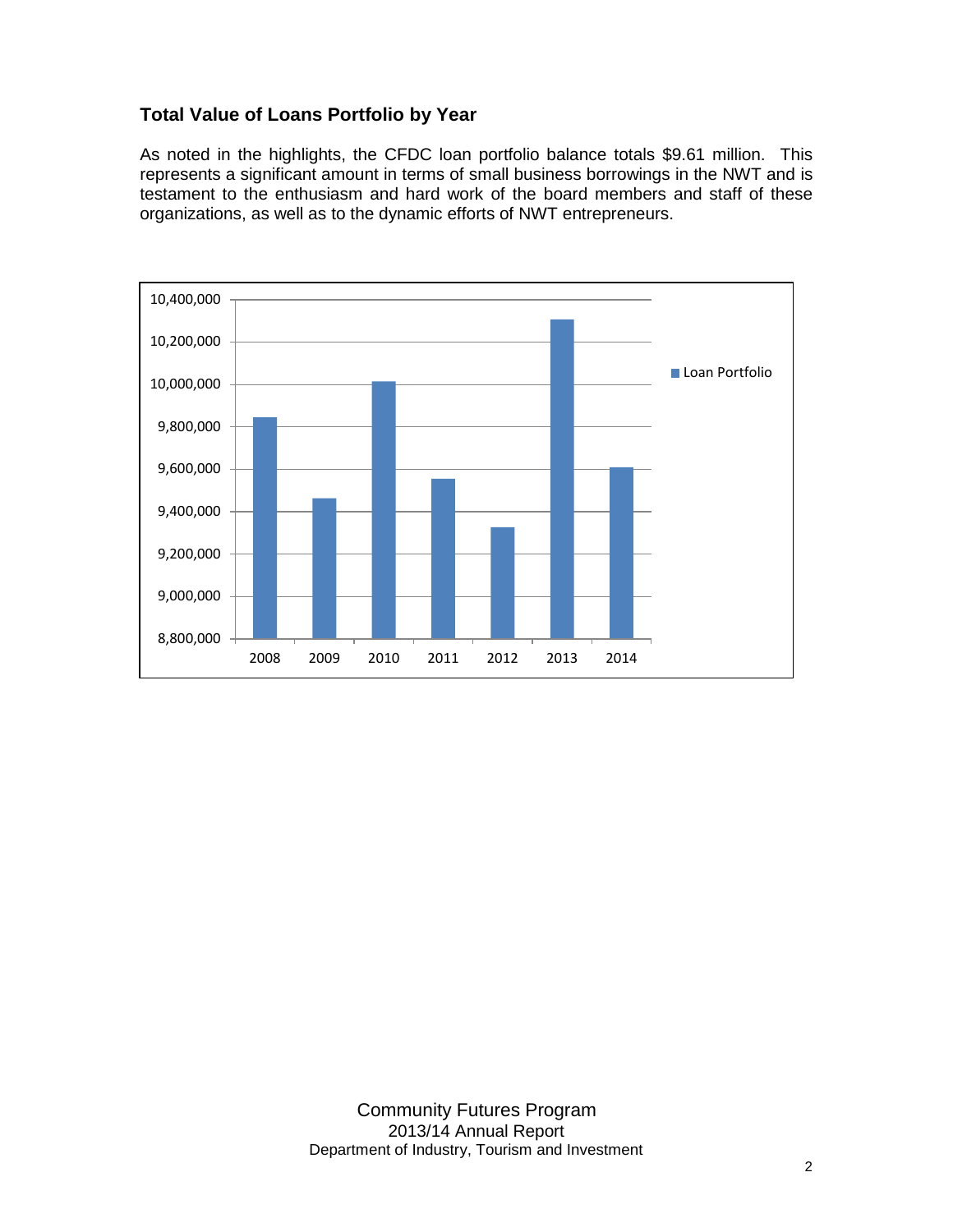#### **Total Value of Loans Portfolio by Year**

As noted in the highlights, the CFDC loan portfolio balance totals \$9.61 million. This represents a significant amount in terms of small business borrowings in the NWT and is testament to the enthusiasm and hard work of the board members and staff of these organizations, as well as to the dynamic efforts of NWT entrepreneurs.

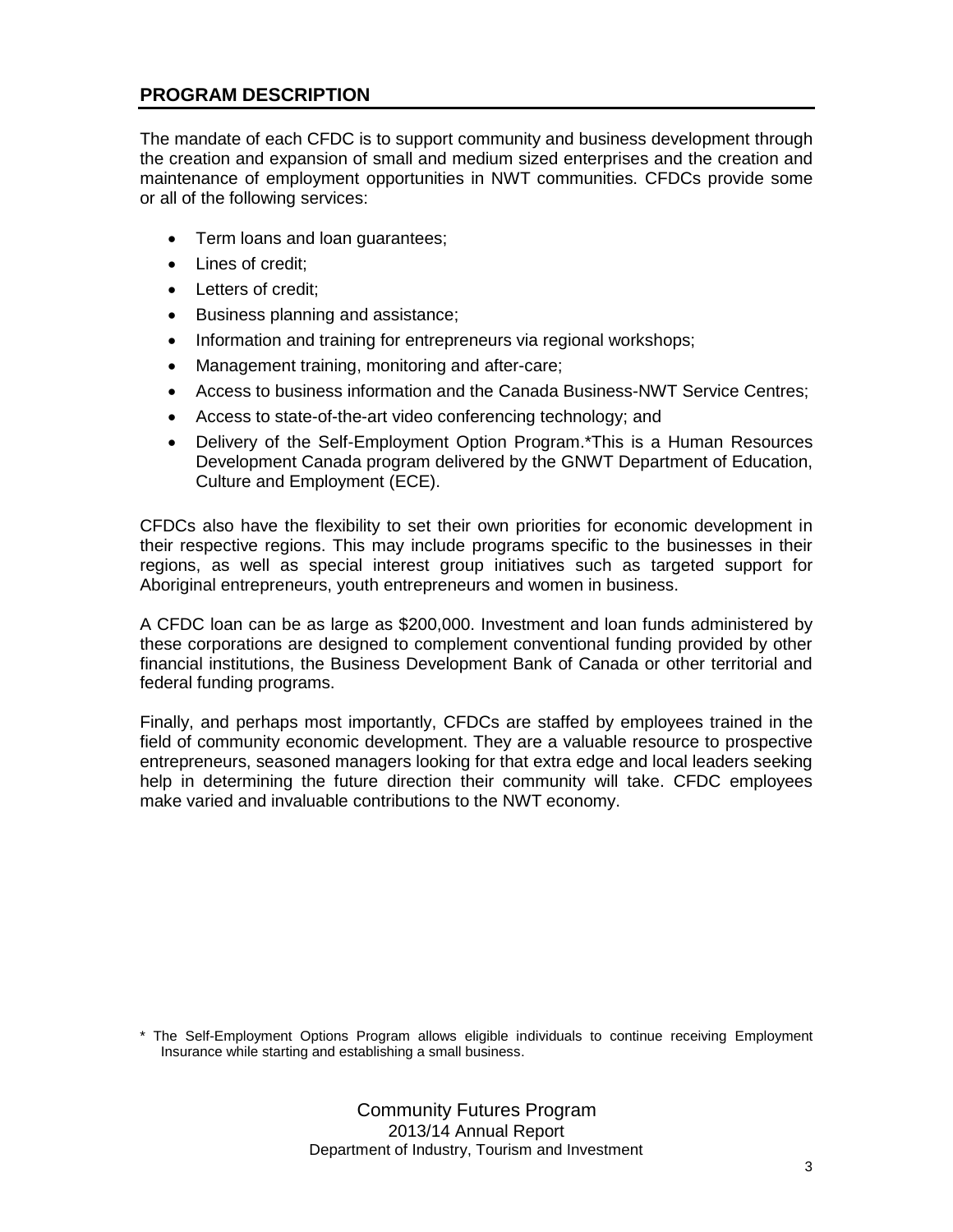#### **PROGRAM DESCRIPTION**

The mandate of each CFDC is to support community and business development through the creation and expansion of small and medium sized enterprises and the creation and maintenance of employment opportunities in NWT communities. CFDCs provide some or all of the following services:

- Term loans and loan guarantees;
- Lines of credit:
- Letters of credit;
- Business planning and assistance;
- Information and training for entrepreneurs via regional workshops;
- Management training, monitoring and after-care;
- Access to business information and the Canada Business-NWT Service Centres;
- Access to state-of-the-art video conferencing technology; and
- Delivery of the Self-Employment Option Program.\*This is a Human Resources Development Canada program delivered by the GNWT Department of Education, Culture and Employment (ECE).

CFDCs also have the flexibility to set their own priorities for economic development in their respective regions. This may include programs specific to the businesses in their regions, as well as special interest group initiatives such as targeted support for Aboriginal entrepreneurs, youth entrepreneurs and women in business.

A CFDC loan can be as large as \$200,000. Investment and loan funds administered by these corporations are designed to complement conventional funding provided by other financial institutions, the Business Development Bank of Canada or other territorial and federal funding programs.

Finally, and perhaps most importantly, CFDCs are staffed by employees trained in the field of community economic development. They are a valuable resource to prospective entrepreneurs, seasoned managers looking for that extra edge and local leaders seeking help in determining the future direction their community will take. CFDC employees make varied and invaluable contributions to the NWT economy.

\* The Self-Employment Options Program allows eligible individuals to continue receiving Employment Insurance while starting and establishing a small business.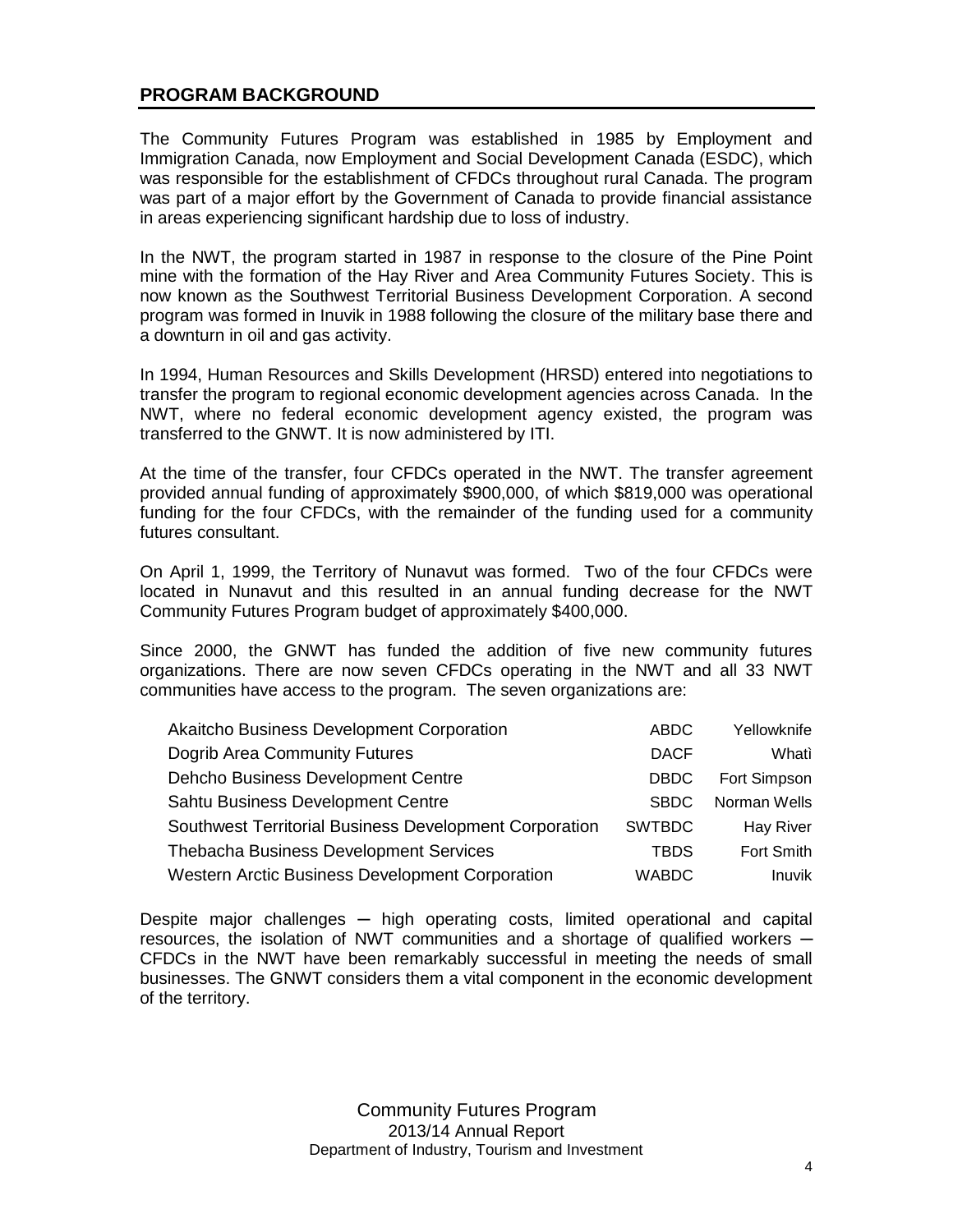#### **PROGRAM BACKGROUND**

The Community Futures Program was established in 1985 by Employment and Immigration Canada, now Employment and Social Development Canada (ESDC), which was responsible for the establishment of CFDCs throughout rural Canada. The program was part of a major effort by the Government of Canada to provide financial assistance in areas experiencing significant hardship due to loss of industry.

In the NWT, the program started in 1987 in response to the closure of the Pine Point mine with the formation of the Hay River and Area Community Futures Society. This is now known as the Southwest Territorial Business Development Corporation. A second program was formed in Inuvik in 1988 following the closure of the military base there and a downturn in oil and gas activity.

In 1994, Human Resources and Skills Development (HRSD) entered into negotiations to transfer the program to regional economic development agencies across Canada. In the NWT, where no federal economic development agency existed, the program was transferred to the GNWT. It is now administered by ITI.

At the time of the transfer, four CFDCs operated in the NWT. The transfer agreement provided annual funding of approximately \$900,000, of which \$819,000 was operational funding for the four CFDCs, with the remainder of the funding used for a community futures consultant.

On April 1, 1999, the Territory of Nunavut was formed. Two of the four CFDCs were located in Nunavut and this resulted in an annual funding decrease for the NWT Community Futures Program budget of approximately \$400,000.

Since 2000, the GNWT has funded the addition of five new community futures organizations. There are now seven CFDCs operating in the NWT and all 33 NWT communities have access to the program. The seven organizations are:

| Akaitcho Business Development Corporation              | <b>ABDC</b>   | Yellowknife   |
|--------------------------------------------------------|---------------|---------------|
| Dogrib Area Community Futures                          | <b>DACF</b>   | Whatì         |
| Dehcho Business Development Centre                     | <b>DBDC</b>   | Fort Simpson  |
| Sahtu Business Development Centre                      | <b>SBDC</b>   | Norman Wells  |
| Southwest Territorial Business Development Corporation | <b>SWTBDC</b> | Hay River     |
| <b>Thebacha Business Development Services</b>          | <b>TBDS</b>   | Fort Smith    |
| Western Arctic Business Development Corporation        | <b>WABDC</b>  | <b>Inuvik</b> |

Despite major challenges — high operating costs, limited operational and capital resources, the isolation of NWT communities and a shortage of qualified workers  $-$ CFDCs in the NWT have been remarkably successful in meeting the needs of small businesses. The GNWT considers them a vital component in the economic development of the territory.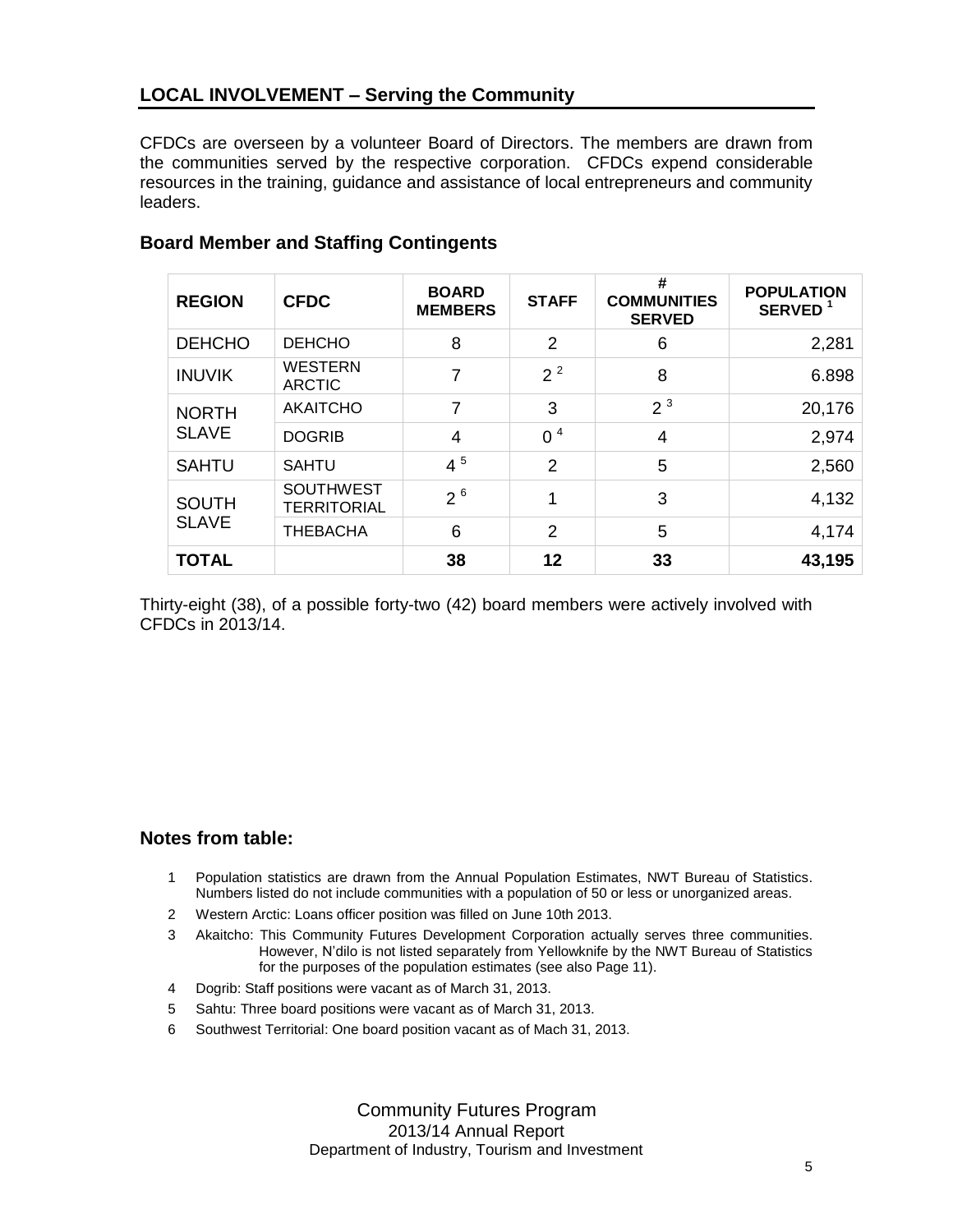#### **LOCAL INVOLVEMENT – Serving the Community**

CFDCs are overseen by a volunteer Board of Directors. The members are drawn from the communities served by the respective corporation. CFDCs expend considerable resources in the training, guidance and assistance of local entrepreneurs and community leaders.

| <b>REGION</b> | <b>CFDC</b>                            | <b>BOARD</b><br><b>MEMBERS</b> | <b>STAFF</b>   | #<br><b>COMMUNITIES</b><br><b>SERVED</b> | <b>POPULATION</b><br>SERVED <sup>1</sup> |
|---------------|----------------------------------------|--------------------------------|----------------|------------------------------------------|------------------------------------------|
| <b>DEHCHO</b> | <b>DEHCHO</b>                          | 8                              | 2              | 6                                        | 2,281                                    |
| <b>INUVIK</b> | <b>WESTERN</b><br><b>ARCTIC</b>        | 7                              | $2^2$          | 8                                        | 6.898                                    |
| <b>NORTH</b>  | <b>AKAITCHO</b>                        | 7                              | 3              | 2 <sup>3</sup>                           | 20,176                                   |
| <b>SLAVE</b>  | <b>DOGRIB</b>                          | 4                              | 0 <sup>4</sup> | $\overline{4}$                           | 2,974                                    |
| <b>SAHTU</b>  | <b>SAHTU</b>                           | $4^5$                          | 2              | 5                                        | 2,560                                    |
| <b>SOUTH</b>  | <b>SOUTHWEST</b><br><b>TERRITORIAL</b> | $2^{6}$                        | 4              | 3                                        | 4,132                                    |
| <b>SLAVE</b>  | <b>THEBACHA</b>                        | 6                              | 2              | 5                                        | 4,174                                    |
| <b>TOTAL</b>  |                                        | 38                             | 12             | 33                                       | 43,195                                   |

#### **Board Member and Staffing Contingents**

Thirty-eight (38), of a possible forty-two (42) board members were actively involved with CFDCs in 2013/14.

#### **Notes from table:**

- 1 Population statistics are drawn from the Annual Population Estimates, NWT Bureau of Statistics. Numbers listed do not include communities with a population of 50 or less or unorganized areas.
- 2 Western Arctic: Loans officer position was filled on June 10th 2013.
- 3 Akaitcho: This Community Futures Development Corporation actually serves three communities. However, N'dilo is not listed separately from Yellowknife by the NWT Bureau of Statistics for the purposes of the population estimates (see also Page 11).
- 4 Dogrib: Staff positions were vacant as of March 31, 2013.
- 5 Sahtu: Three board positions were vacant as of March 31, 2013.
- 6 Southwest Territorial: One board position vacant as of Mach 31, 2013.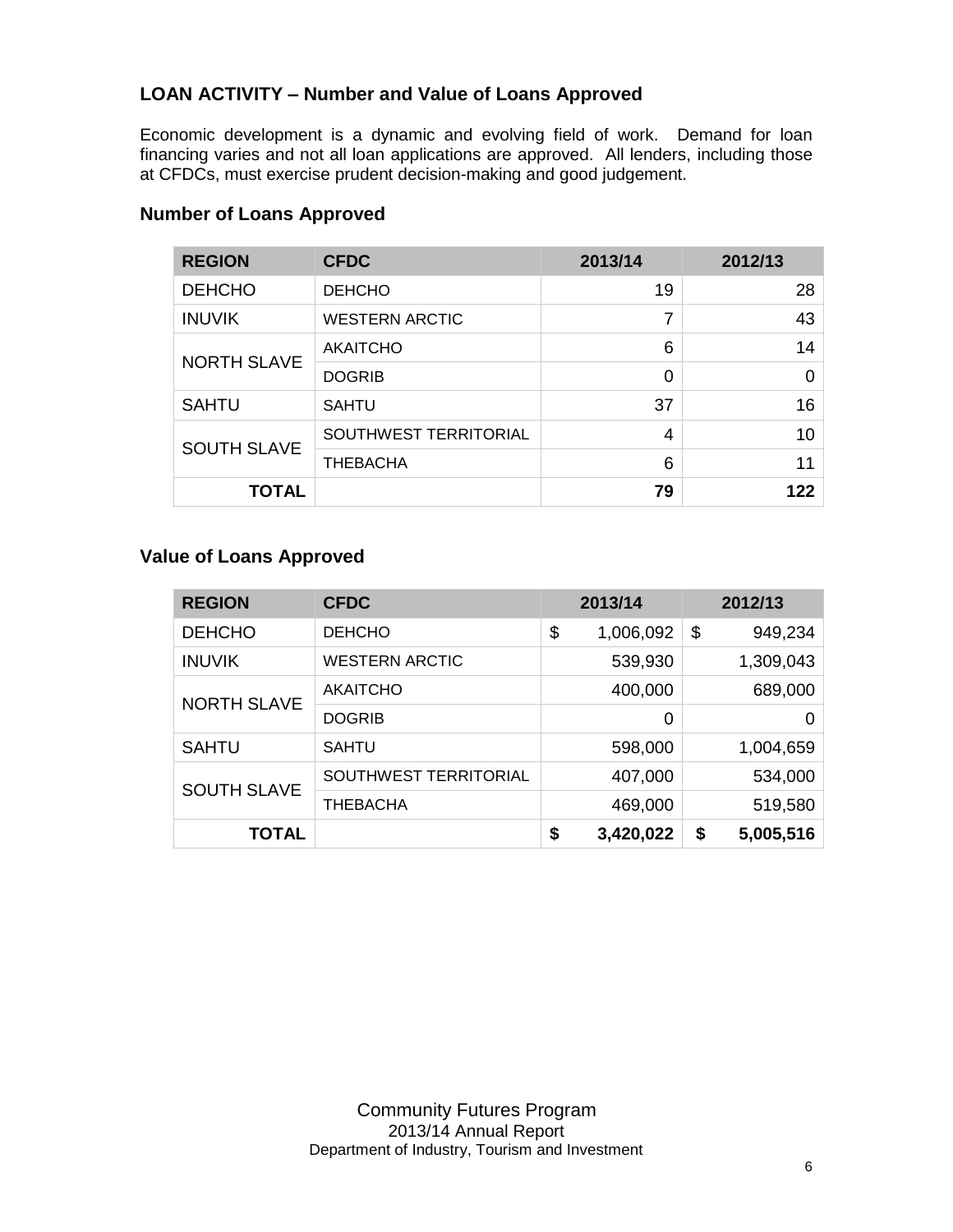#### **LOAN ACTIVITY – Number and Value of Loans Approved**

Economic development is a dynamic and evolving field of work. Demand for loan financing varies and not all loan applications are approved. All lenders, including those at CFDCs, must exercise prudent decision-making and good judgement.

| <b>REGION</b>      | <b>CFDC</b>           | 2013/14 | 2012/13  |
|--------------------|-----------------------|---------|----------|
| <b>DEHCHO</b>      | <b>DEHCHO</b>         | 19      | 28       |
| <b>INUVIK</b>      | <b>WESTERN ARCTIC</b> | 7       | 43       |
| <b>NORTH SLAVE</b> | <b>AKAITCHO</b>       | 6       | 14       |
|                    | <b>DOGRIB</b>         | 0       | $\Omega$ |
| <b>SAHTU</b>       | <b>SAHTU</b>          | 37      | 16       |
| <b>SOUTH SLAVE</b> | SOUTHWEST TERRITORIAL | 4       | 10       |
|                    | <b>THEBACHA</b>       | 6       | 11       |
| <b>TOTAL</b>       |                       | 79      | 122      |

#### **Number of Loans Approved**

#### **Value of Loans Approved**

| <b>REGION</b>      | <b>CFDC</b>           | 2013/14         |               | 2012/13   |
|--------------------|-----------------------|-----------------|---------------|-----------|
| <b>DEHCHO</b>      | <b>DEHCHO</b>         | \$<br>1,006,092 | $\frac{1}{2}$ | 949,234   |
| <b>INUVIK</b>      | <b>WESTERN ARCTIC</b> | 539,930         |               | 1,309,043 |
| <b>NORTH SLAVE</b> | <b>AKAITCHO</b>       | 400,000         |               | 689,000   |
|                    | <b>DOGRIB</b>         | 0               |               | 0         |
| <b>SAHTU</b>       | <b>SAHTU</b>          | 598,000         |               | 1,004,659 |
| <b>SOUTH SLAVE</b> | SOUTHWEST TERRITORIAL | 407,000         |               | 534,000   |
|                    | <b>THEBACHA</b>       | 469,000         |               | 519,580   |
| <b>TOTAL</b>       |                       | \$<br>3,420,022 | \$            | 5,005,516 |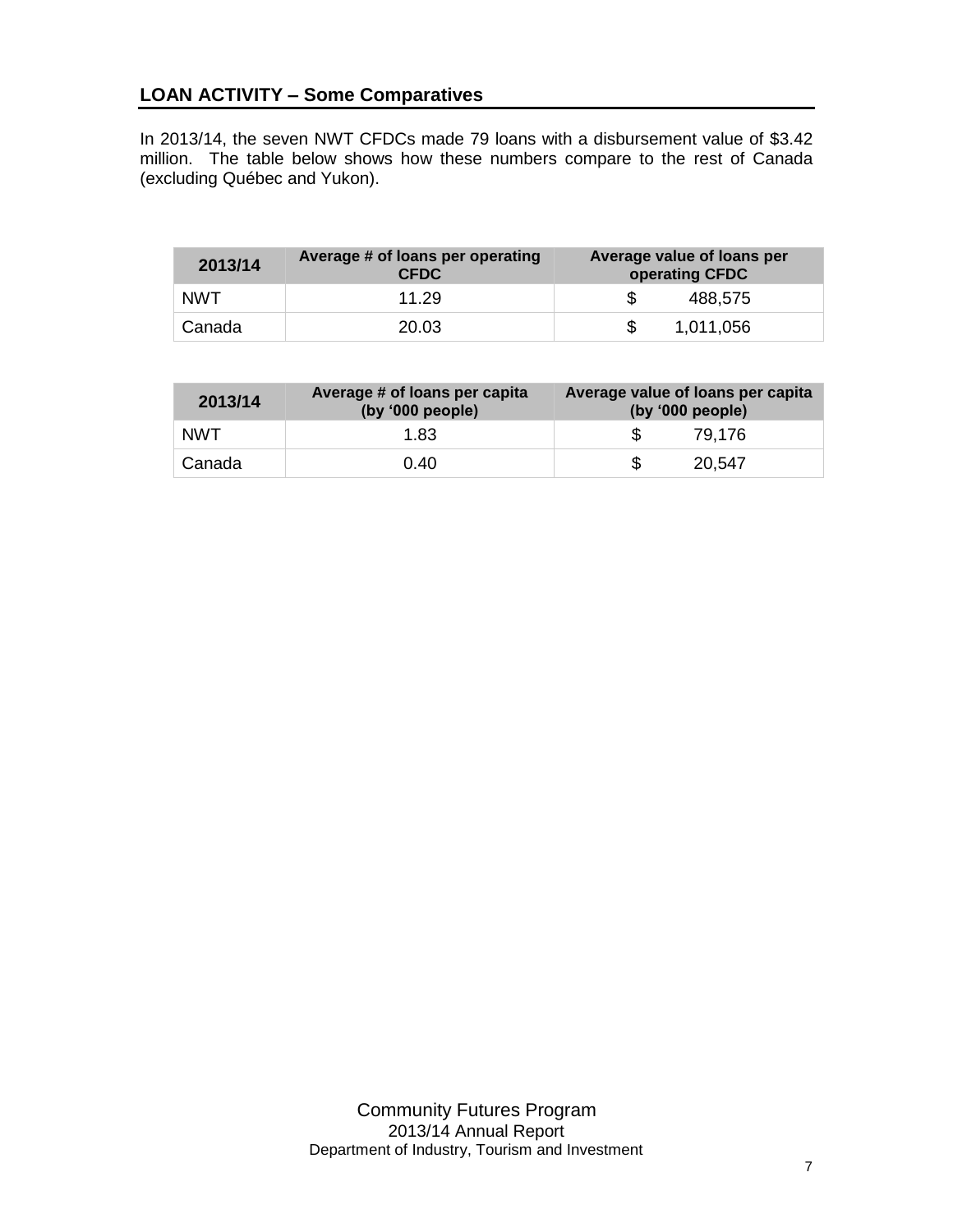#### **LOAN ACTIVITY – Some Comparatives**

In 2013/14, the seven NWT CFDCs made 79 loans with a disbursement value of \$3.42 million. The table below shows how these numbers compare to the rest of Canada (excluding Québec and Yukon).

| 2013/14    | Average # of loans per operating<br><b>CFDC</b> | Average value of loans per<br>operating CFDC |  |  |
|------------|-------------------------------------------------|----------------------------------------------|--|--|
| <b>NWT</b> | 11.29                                           | 488,575                                      |  |  |
| Canada     | 20.03                                           | 1,011,056                                    |  |  |

| 2013/14    | Average # of loans per capita<br>(by '000 people) | Average value of loans per capita<br>(by '000 people) |
|------------|---------------------------------------------------|-------------------------------------------------------|
| <b>NWT</b> | 1.83                                              | 79.176                                                |
| Canada     | 0.40                                              | 20,547                                                |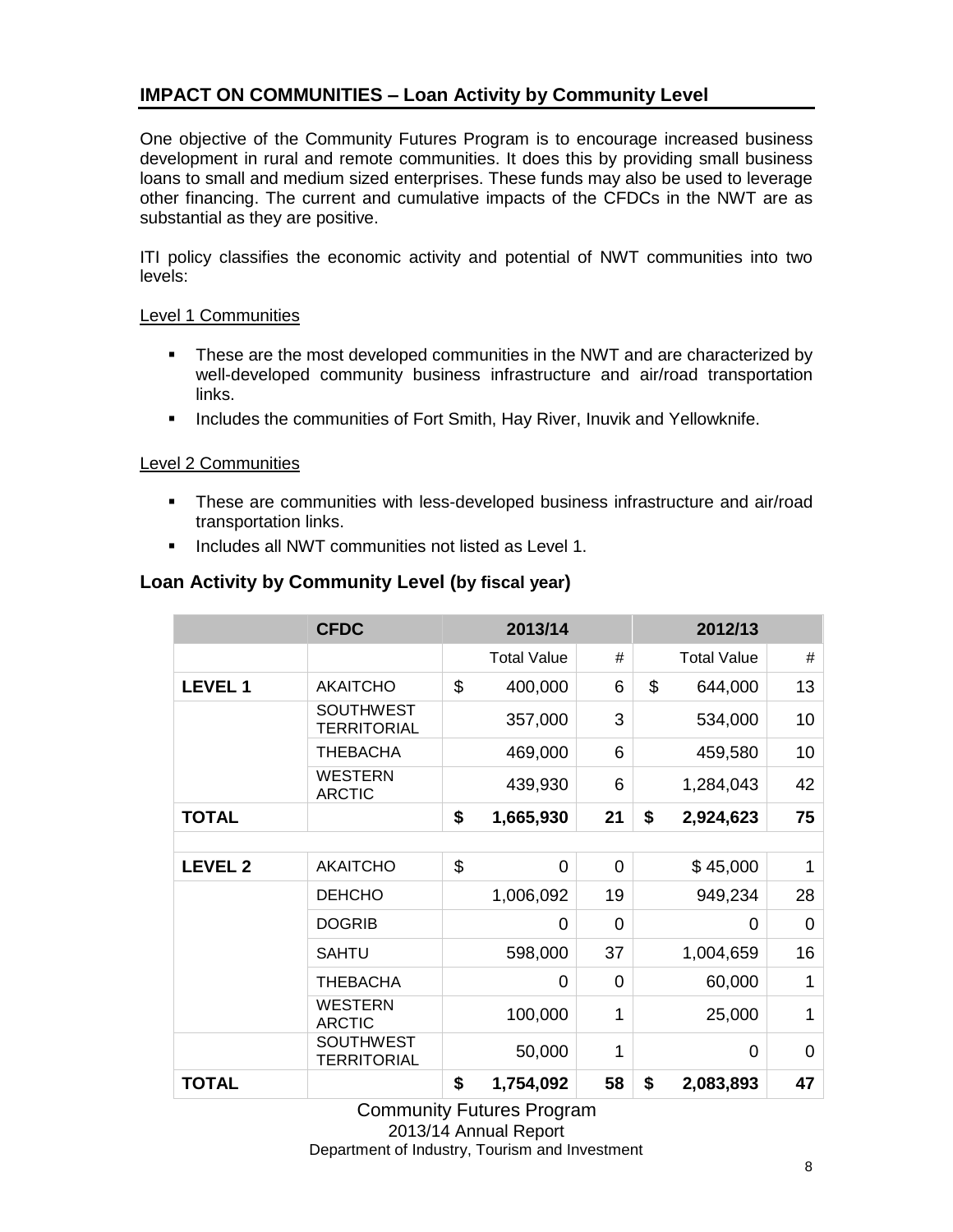#### **IMPACT ON COMMUNITIES – Loan Activity by Community Level**

One objective of the Community Futures Program is to encourage increased business development in rural and remote communities. It does this by providing small business loans to small and medium sized enterprises. These funds may also be used to leverage other financing. The current and cumulative impacts of the CFDCs in the NWT are as substantial as they are positive.

ITI policy classifies the economic activity and potential of NWT communities into two levels:

#### Level 1 Communities

- **These are the most developed communities in the NWT and are characterized by** well-developed community business infrastructure and air/road transportation links.
- **Includes the communities of Fort Smith, Hay River, Inuvik and Yellowknife.**

#### Level 2 Communities

- These are communities with less-developed business infrastructure and air/road transportation links.
- **Includes all NWT communities not listed as Level 1.**

#### **Loan Activity by Community Level (by fiscal year)**

|                | <b>CFDC</b>                            | 2013/14        |                    |                | 2012/13            |    |
|----------------|----------------------------------------|----------------|--------------------|----------------|--------------------|----|
|                |                                        |                | <b>Total Value</b> | #              | <b>Total Value</b> | #  |
| <b>LEVEL1</b>  | <b>AKAITCHO</b>                        | $\mathfrak{L}$ | 400,000            | 6              | \$<br>644,000      | 13 |
|                | <b>SOUTHWEST</b><br><b>TERRITORIAL</b> |                | 357,000            | 3              | 534,000            | 10 |
|                | THEBACHA                               |                | 469,000            | 6              | 459,580            | 10 |
|                | <b>WESTERN</b><br><b>ARCTIC</b>        |                | 439,930            | 6              | 1,284,043          | 42 |
| <b>TOTAL</b>   |                                        | \$             | 1,665,930          | 21             | \$<br>2,924,623    | 75 |
|                |                                        |                |                    |                |                    |    |
| <b>LEVEL 2</b> | <b>AKAITCHO</b>                        | \$             | 0                  | 0              | \$45,000           | 1  |
|                | <b>DEHCHO</b>                          |                | 1,006,092          | 19             | 949,234            | 28 |
|                | <b>DOGRIB</b>                          |                | $\overline{0}$     | 0              | 0                  | 0  |
|                | <b>SAHTU</b>                           |                | 598,000            | 37             | 1,004,659          | 16 |
|                | THEBACHA                               |                | $\Omega$           | $\overline{0}$ | 60,000             | 1  |
|                | <b>WESTERN</b><br><b>ARCTIC</b>        |                | 100,000            | 1              | 25,000             | 1  |
|                | <b>SOUTHWEST</b><br><b>TERRITORIAL</b> |                | 50,000             | 1              | 0                  | 0  |
| <b>TOTAL</b>   |                                        | \$             | 1,754,092          | 58             | \$<br>2,083,893    | 47 |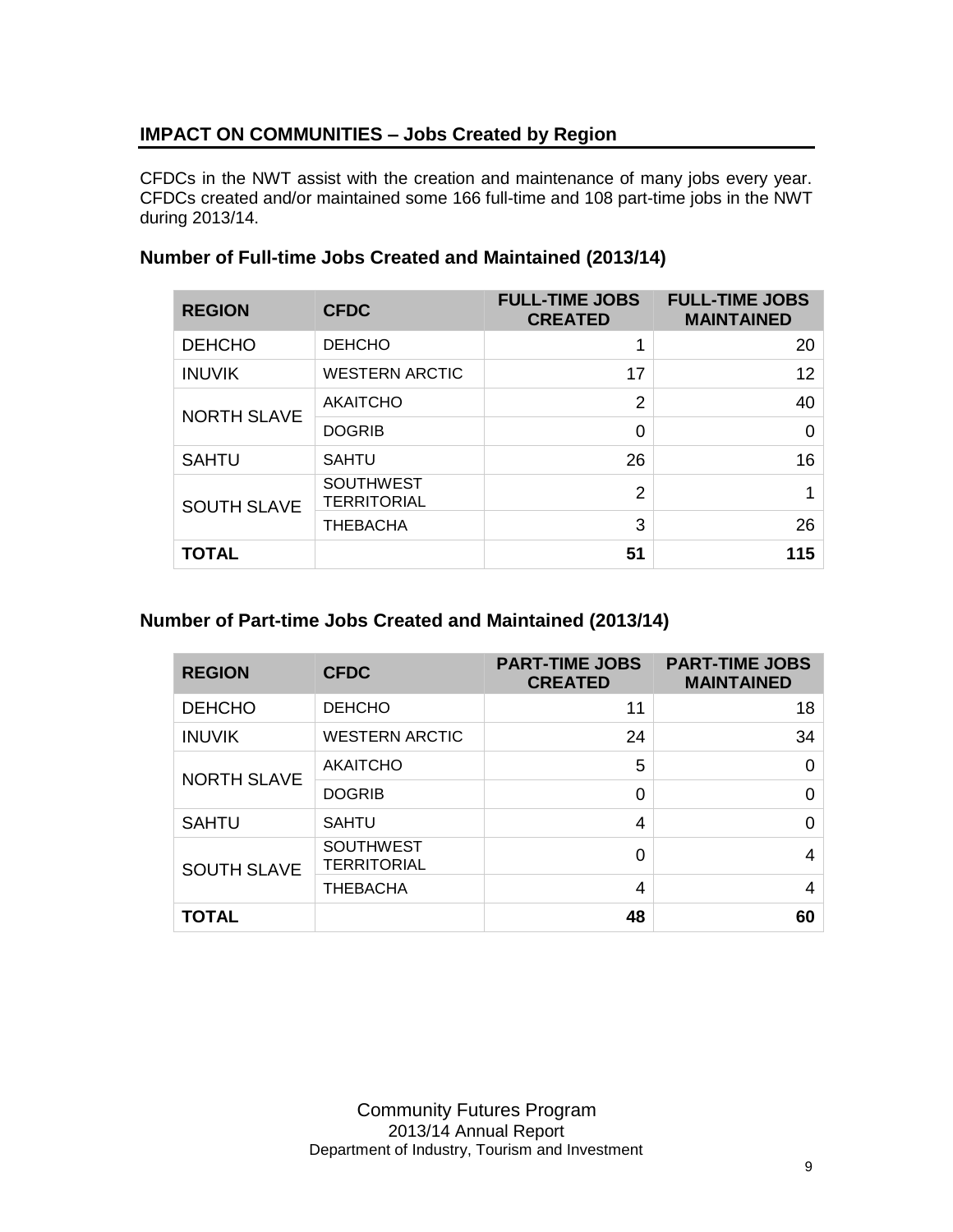#### **IMPACT ON COMMUNITIES – Jobs Created by Region**

CFDCs in the NWT assist with the creation and maintenance of many jobs every year. CFDCs created and/or maintained some 166 full-time and 108 part-time jobs in the NWT during 2013/14.

| <b>REGION</b>      | <b>CFDC</b>                            | <b>FULL-TIME JOBS</b><br><b>CREATED</b> | <b>FULL-TIME JOBS</b><br><b>MAINTAINED</b> |
|--------------------|----------------------------------------|-----------------------------------------|--------------------------------------------|
| <b>DEHCHO</b>      | <b>DEHCHO</b>                          | 1                                       | 20                                         |
| <b>INUVIK</b>      | <b>WESTERN ARCTIC</b>                  | 17                                      | 12                                         |
|                    | <b>AKAITCHO</b>                        | $\overline{2}$                          | 40                                         |
| <b>NORTH SLAVE</b> | <b>DOGRIB</b>                          | 0                                       | 0                                          |
| <b>SAHTU</b>       | <b>SAHTU</b>                           | 26                                      | 16                                         |
| SOUTH SLAVE        | <b>SOUTHWEST</b><br><b>TERRITORIAL</b> | $\overline{2}$                          |                                            |
|                    | <b>THEBACHA</b>                        | 3                                       | 26                                         |
| <b>TOTAL</b>       |                                        | 51                                      | 115                                        |

#### **Number of Full-time Jobs Created and Maintained (2013/14)**

#### **Number of Part-time Jobs Created and Maintained (2013/14)**

| <b>REGION</b>      | <b>CFDC</b>                     | <b>PART-TIME JOBS</b><br><b>CREATED</b> | <b>PART-TIME JOBS</b><br><b>MAINTAINED</b> |
|--------------------|---------------------------------|-----------------------------------------|--------------------------------------------|
| <b>DEHCHO</b>      | <b>DEHCHO</b>                   | 11                                      | 18                                         |
| <b>INUVIK</b>      | <b>WESTERN ARCTIC</b>           | 24                                      | 34                                         |
|                    | <b>AKAITCHO</b>                 | 5                                       | 0                                          |
| <b>NORTH SLAVE</b> | <b>DOGRIB</b>                   | 0                                       | ი                                          |
| <b>SAHTU</b>       | <b>SAHTU</b>                    | 4                                       |                                            |
| <b>SOUTH SLAVE</b> | <b>SOUTHWEST</b><br>TERRITORIAL | 0                                       | 4                                          |
|                    | <b>THEBACHA</b>                 | 4                                       | 4                                          |
| <b>TOTAL</b>       |                                 | 48                                      | 60                                         |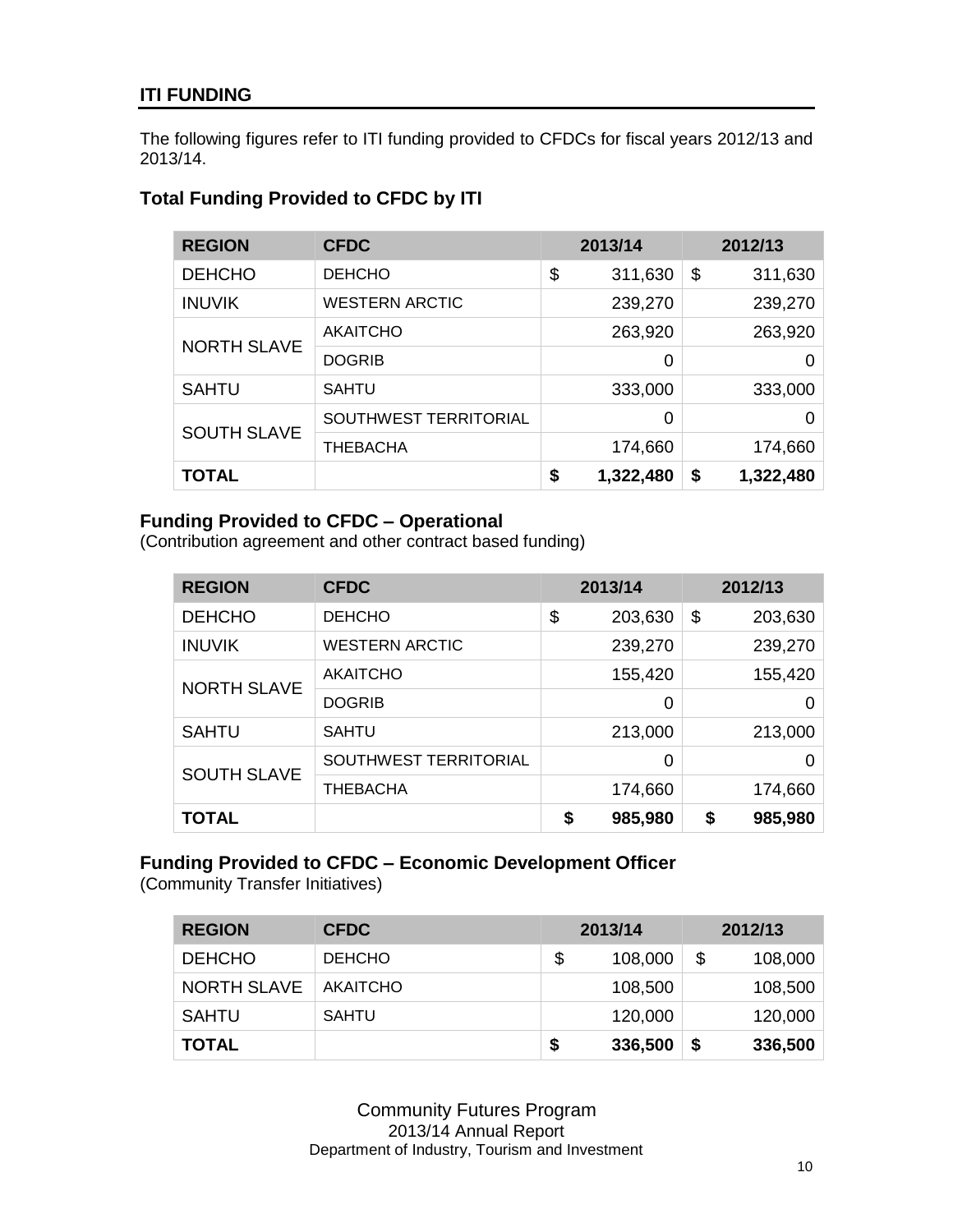#### **ITI FUNDING**

The following figures refer to ITI funding provided to CFDCs for fiscal years 2012/13 and 2013/14.

### **REGION CFDC 2013/14 2012/13** DEHCHO DEHCHO \\$ 311,630 \\$ 311,630 INUVIK WESTERN ARCTIC 239,270 239,270 NORTH SLAVE AKAITCHO 263,920 263,920 DOGRIB 0 0 SAHTU SAHTU 333,000 333,000 SOUTH SLAVE SOUTHWEST TERRITORIAL 0 0 THEBACHA 174,660 174,660 **TOTAL \$ 1,322,480 \$ 1,322,480**

## **Total Funding Provided to CFDC by ITI**

#### **Funding Provided to CFDC – Operational**

(Contribution agreement and other contract based funding)

| <b>REGION</b>      | <b>CFDC</b>           | 2013/14       | 2012/13       |
|--------------------|-----------------------|---------------|---------------|
| <b>DEHCHO</b>      | <b>DEHCHO</b>         | \$<br>203,630 | \$<br>203,630 |
| <b>INUVIK</b>      | <b>WESTERN ARCTIC</b> | 239,270       | 239,270       |
|                    | <b>AKAITCHO</b>       | 155,420       | 155,420       |
| <b>NORTH SLAVE</b> | <b>DOGRIB</b>         | 0             | 0             |
| <b>SAHTU</b>       | <b>SAHTU</b>          | 213,000       | 213,000       |
| <b>SOUTH SLAVE</b> | SOUTHWEST TERRITORIAL | 0             |               |
|                    | <b>THEBACHA</b>       | 174,660       | 174,660       |
| <b>TOTAL</b>       |                       | \$<br>985,980 | \$<br>985,980 |

#### **Funding Provided to CFDC – Economic Development Officer**

(Community Transfer Initiatives)

| <b>REGION</b>      | <b>CFDC</b>     | 2013/14       | 2012/13 |         |
|--------------------|-----------------|---------------|---------|---------|
| <b>DEHCHO</b>      | <b>DEHCHO</b>   | \$<br>108,000 | \$      | 108,000 |
| <b>NORTH SLAVE</b> | <b>AKAITCHO</b> | 108,500       |         | 108,500 |
| <b>SAHTU</b>       | <b>SAHTU</b>    | 120,000       |         | 120,000 |
| <b>TOTAL</b>       |                 | \$<br>336,500 | \$      | 336,500 |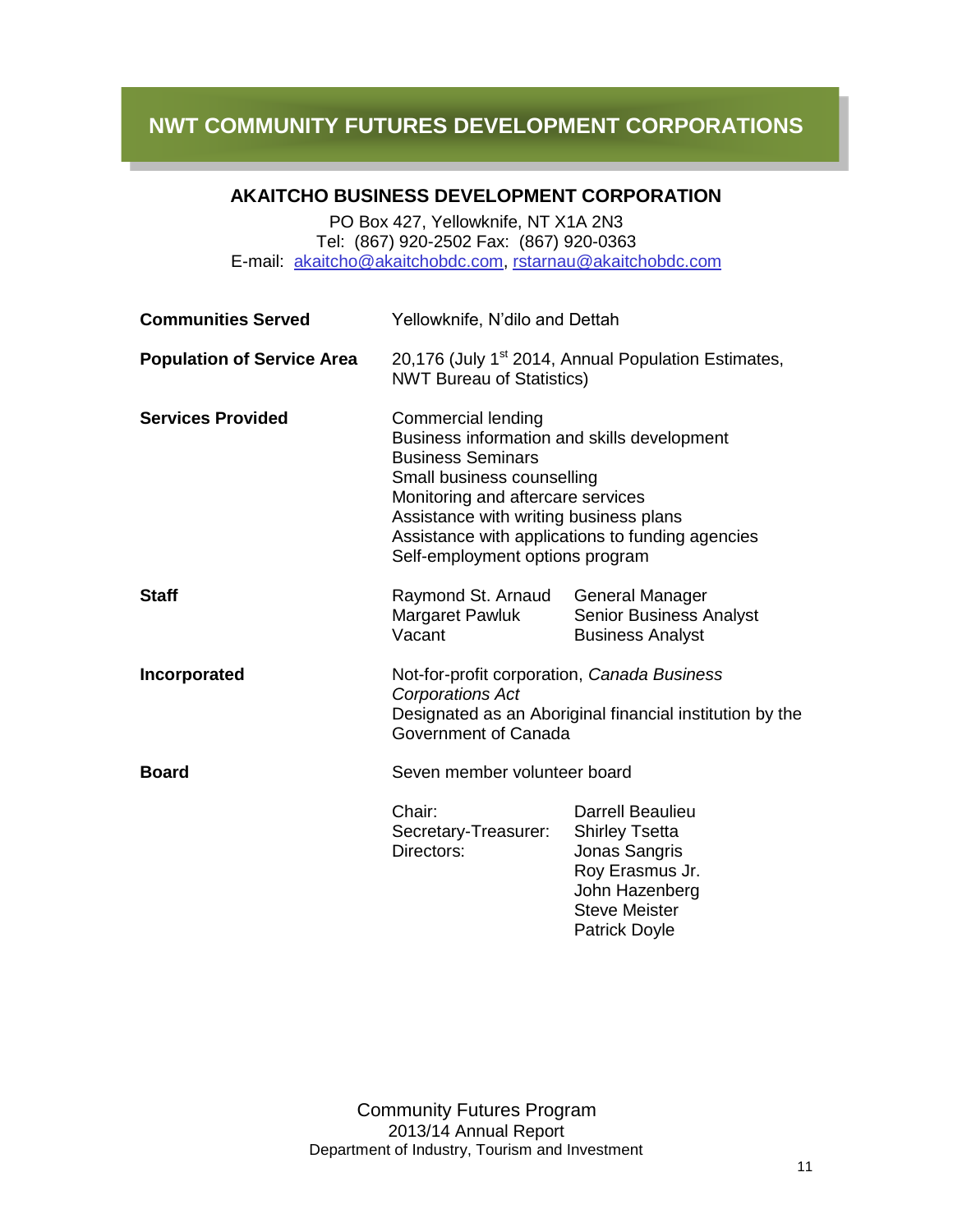#### **AKAITCHO BUSINESS DEVELOPMENT CORPORATION**

PO Box 427, Yellowknife, NT X1A 2N3 Tel: (867) 920-2502 Fax: (867) 920-0363 E-mail: [akaitcho@akaitchobdc.com,](mailto:akaitcho@akaitchobdc.com) [rstarnau@akaitchobdc.com](mailto:rstarnau@akaitchobdc.com)

| <b>Communities Served</b>         | Yellowknife, N'dilo and Dettah                                                                                                                                                                                                                                                                           |                                                                                                                                                        |
|-----------------------------------|----------------------------------------------------------------------------------------------------------------------------------------------------------------------------------------------------------------------------------------------------------------------------------------------------------|--------------------------------------------------------------------------------------------------------------------------------------------------------|
| <b>Population of Service Area</b> | 20,176 (July 1 <sup>st</sup> 2014, Annual Population Estimates,<br><b>NWT Bureau of Statistics)</b>                                                                                                                                                                                                      |                                                                                                                                                        |
| <b>Services Provided</b>          | <b>Commercial lending</b><br>Business information and skills development<br><b>Business Seminars</b><br>Small business counselling<br>Monitoring and aftercare services<br>Assistance with writing business plans<br>Assistance with applications to funding agencies<br>Self-employment options program |                                                                                                                                                        |
| <b>Staff</b>                      | Raymond St. Arnaud<br>Margaret Pawluk<br>Vacant                                                                                                                                                                                                                                                          | <b>General Manager</b><br><b>Senior Business Analyst</b><br><b>Business Analyst</b>                                                                    |
| Incorporated                      | Not-for-profit corporation, Canada Business<br><b>Corporations Act</b><br>Designated as an Aboriginal financial institution by the<br>Government of Canada                                                                                                                                               |                                                                                                                                                        |
| <b>Board</b>                      | Seven member volunteer board                                                                                                                                                                                                                                                                             |                                                                                                                                                        |
|                                   | Chair:<br>Secretary-Treasurer:<br>Directors:                                                                                                                                                                                                                                                             | <b>Darrell Beaulieu</b><br><b>Shirley Tsetta</b><br>Jonas Sangris<br>Roy Erasmus Jr.<br>John Hazenberg<br><b>Steve Meister</b><br><b>Patrick Doyle</b> |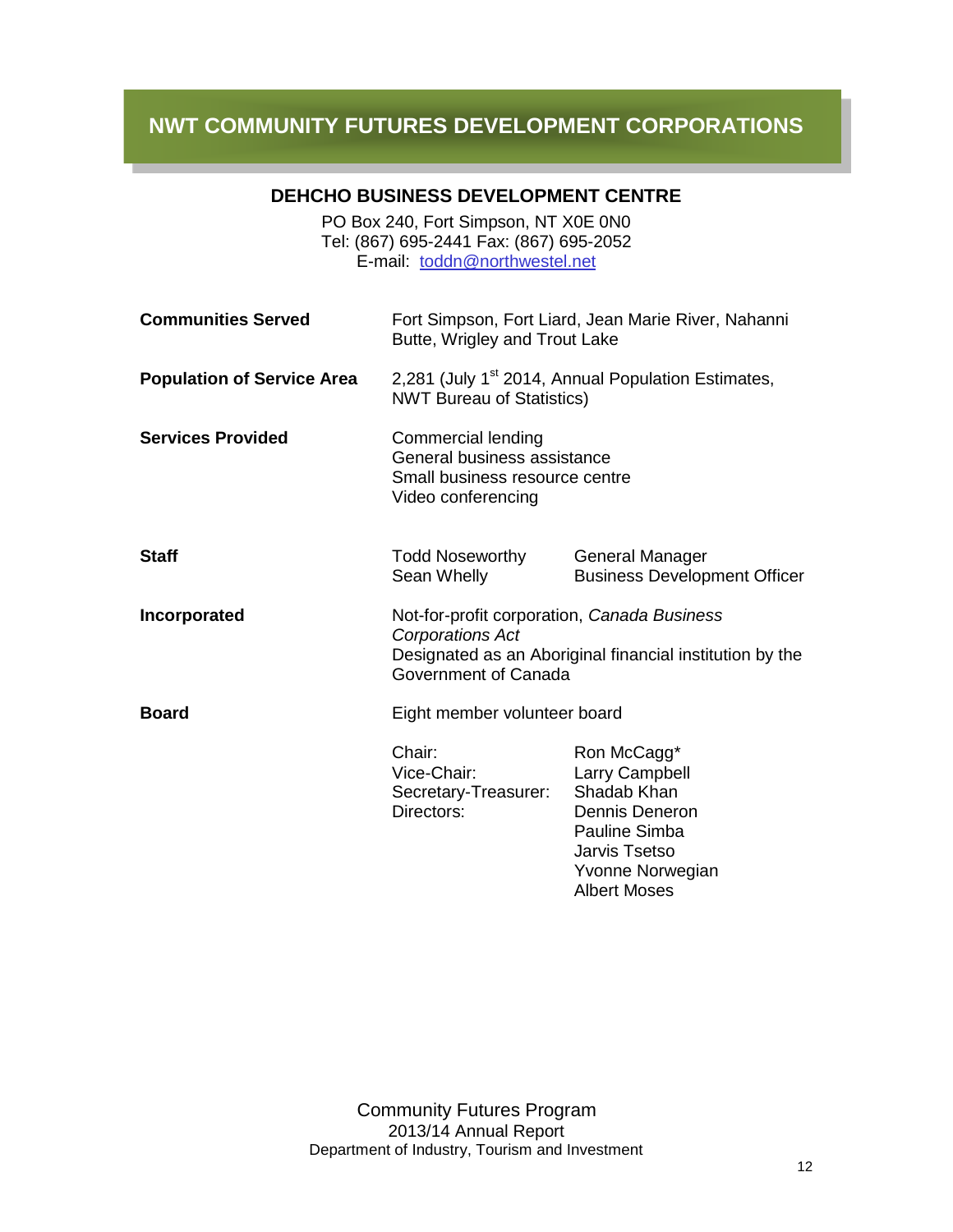l

#### **DEHCHO BUSINESS DEVELOPMENT CENTRE**

PO Box 240, Fort Simpson, NT X0E 0N0 Tel: (867) 695-2441 Fax: (867) 695-2052 E-mail: [toddn@northwestel.net](mailto:cjtodd@cancom.net)

| <b>Communities Served</b>         | Fort Simpson, Fort Liard, Jean Marie River, Nahanni<br>Butte, Wrigley and Trout Lake                                                                |                                                                                                                                                                         |
|-----------------------------------|-----------------------------------------------------------------------------------------------------------------------------------------------------|-------------------------------------------------------------------------------------------------------------------------------------------------------------------------|
| <b>Population of Service Area</b> | 2,281 (July 1 <sup>st</sup> 2014, Annual Population Estimates,<br><b>NWT Bureau of Statistics)</b>                                                  |                                                                                                                                                                         |
| <b>Services Provided</b>          | Commercial lending<br>General business assistance<br>Small business resource centre<br>Video conferencing                                           |                                                                                                                                                                         |
| <b>Staff</b>                      | <b>Todd Noseworthy</b><br>Sean Whelly                                                                                                               | <b>General Manager</b><br><b>Business Development Officer</b>                                                                                                           |
| Incorporated                      | Not-for-profit corporation, Canada Business<br>Corporations Act<br>Designated as an Aboriginal financial institution by the<br>Government of Canada |                                                                                                                                                                         |
| <b>Board</b>                      | Eight member volunteer board                                                                                                                        |                                                                                                                                                                         |
|                                   | Chair:<br>Vice-Chair:<br>Secretary-Treasurer:<br>Directors:                                                                                         | Ron McCagg*<br><b>Larry Campbell</b><br>Shadab Khan<br><b>Dennis Deneron</b><br><b>Pauline Simba</b><br><b>Jarvis Tsetso</b><br>Yvonne Norwegian<br><b>Albert Moses</b> |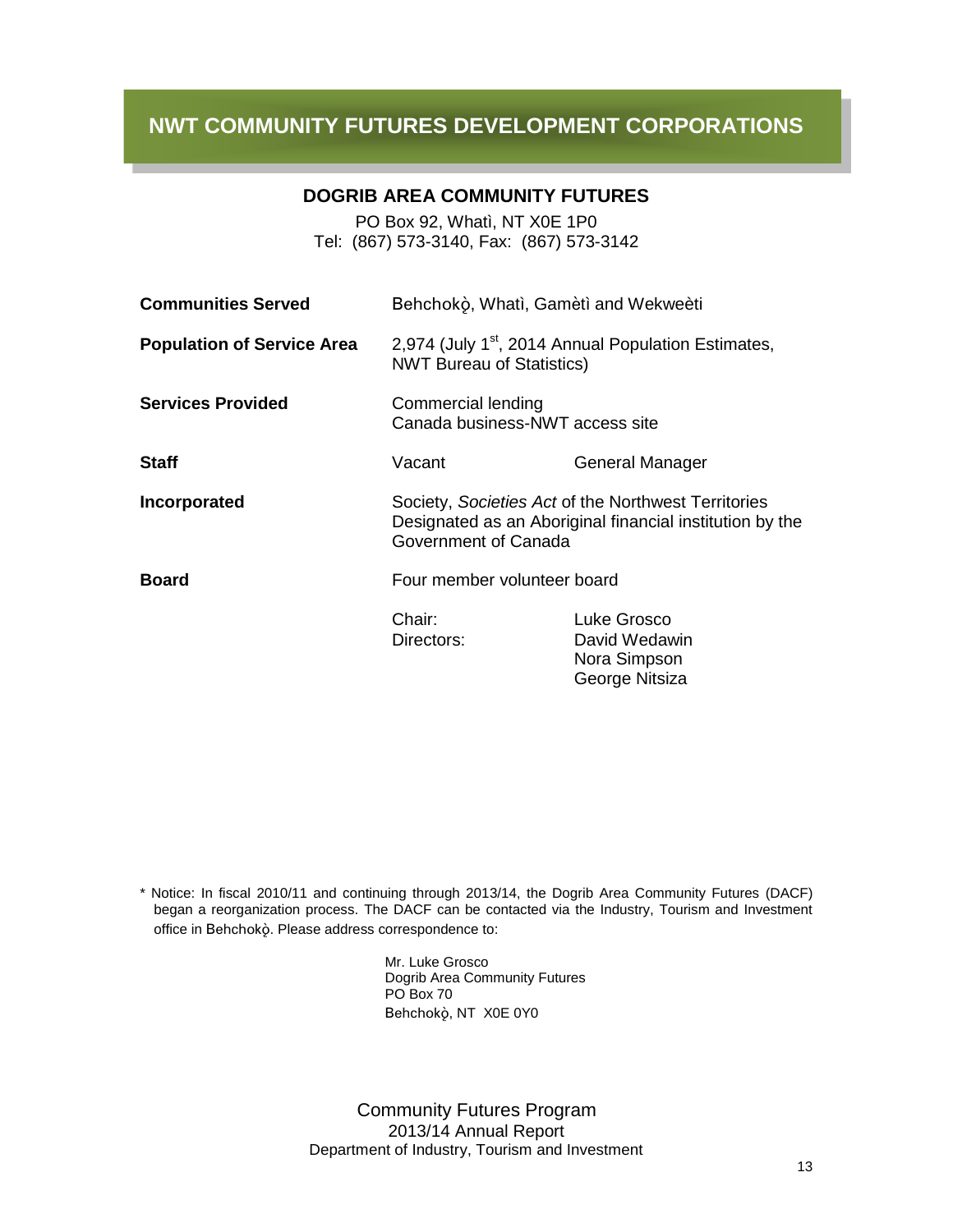l

#### **DOGRIB AREA COMMUNITY FUTURES**

PO Box 92, Whatì, NT X0E 1P0 Tel: (867) 573-3140, Fax: (867) 573-3142

| <b>Communities Served</b>         | Behchokò, Whatì, Gamètì and Wekweèti                                                                                                    |                                                                |
|-----------------------------------|-----------------------------------------------------------------------------------------------------------------------------------------|----------------------------------------------------------------|
| <b>Population of Service Area</b> | 2,974 (July 1 <sup>st</sup> , 2014 Annual Population Estimates,<br><b>NWT Bureau of Statistics)</b>                                     |                                                                |
| <b>Services Provided</b>          | Commercial lending<br>Canada business-NWT access site                                                                                   |                                                                |
| <b>Staff</b>                      | Vacant                                                                                                                                  | General Manager                                                |
| Incorporated                      | Society, Societies Act of the Northwest Territories<br>Designated as an Aboriginal financial institution by the<br>Government of Canada |                                                                |
| <b>Board</b>                      | Four member volunteer board                                                                                                             |                                                                |
|                                   | Chair:<br>Directors:                                                                                                                    | Luke Grosco<br>David Wedawin<br>Nora Simpson<br>George Nitsiza |

\* Notice: In fiscal 2010/11 and continuing through 2013/14, the Dogrib Area Community Futures (DACF) began a reorganization process. The DACF can be contacted via the Industry, Tourism and Investment office in Behchokò. Please address correspondence to:

> Mr. Luke Grosco Dogrib Area Community Futures PO Box 70 Behchokö, NT X0E 0Y0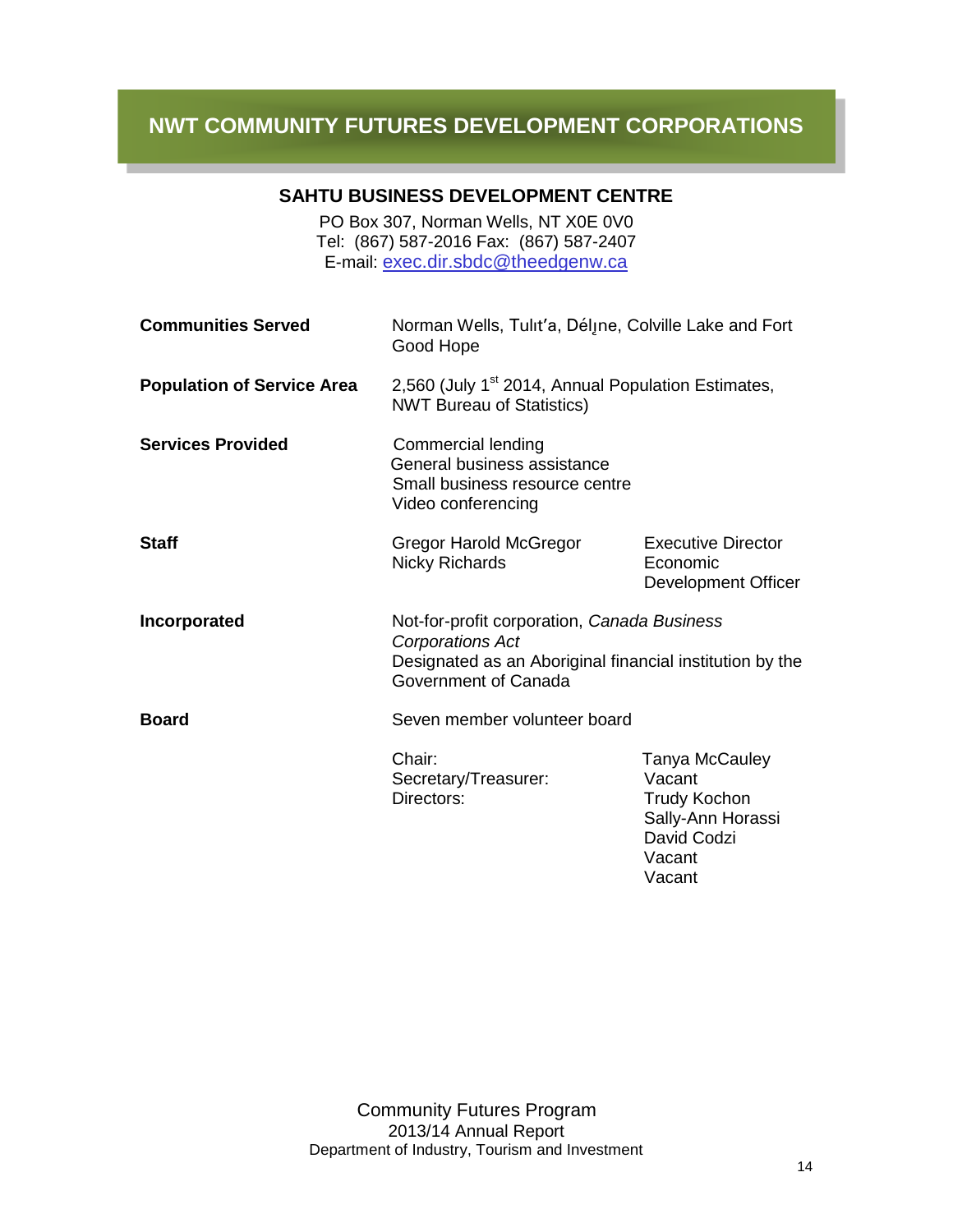l

#### **SAHTU BUSINESS DEVELOPMENT CENTRE**

PO Box 307, Norman Wells, NT X0E 0V0 Tel: (867) 587-2016 Fax: (867) 587-2407 E-mail: [exec.dir.sbdc@theedgenw.ca](mailto:exec.dir.sbdc@theedgenw.ca)

| <b>Communities Served</b>         | Norman Wells, Tulit'a, Déljne, Colville Lake and Fort<br>Good Hope                                                                                         |                                                                                                         |
|-----------------------------------|------------------------------------------------------------------------------------------------------------------------------------------------------------|---------------------------------------------------------------------------------------------------------|
| <b>Population of Service Area</b> | 2,560 (July 1 <sup>st</sup> 2014, Annual Population Estimates,<br><b>NWT Bureau of Statistics)</b>                                                         |                                                                                                         |
| <b>Services Provided</b>          | Commercial lending<br>General business assistance<br>Small business resource centre<br>Video conferencing                                                  |                                                                                                         |
| <b>Staff</b>                      | <b>Gregor Harold McGregor</b><br><b>Nicky Richards</b>                                                                                                     | <b>Executive Director</b><br>Economic<br>Development Officer                                            |
| Incorporated                      | Not-for-profit corporation, Canada Business<br><b>Corporations Act</b><br>Designated as an Aboriginal financial institution by the<br>Government of Canada |                                                                                                         |
| <b>Board</b>                      | Seven member volunteer board                                                                                                                               |                                                                                                         |
|                                   | Chair:<br>Secretary/Treasurer:<br>Directors:                                                                                                               | Tanya McCauley<br>Vacant<br><b>Trudy Kochon</b><br>Sally-Ann Horassi<br>David Codzi<br>Vacant<br>Vacant |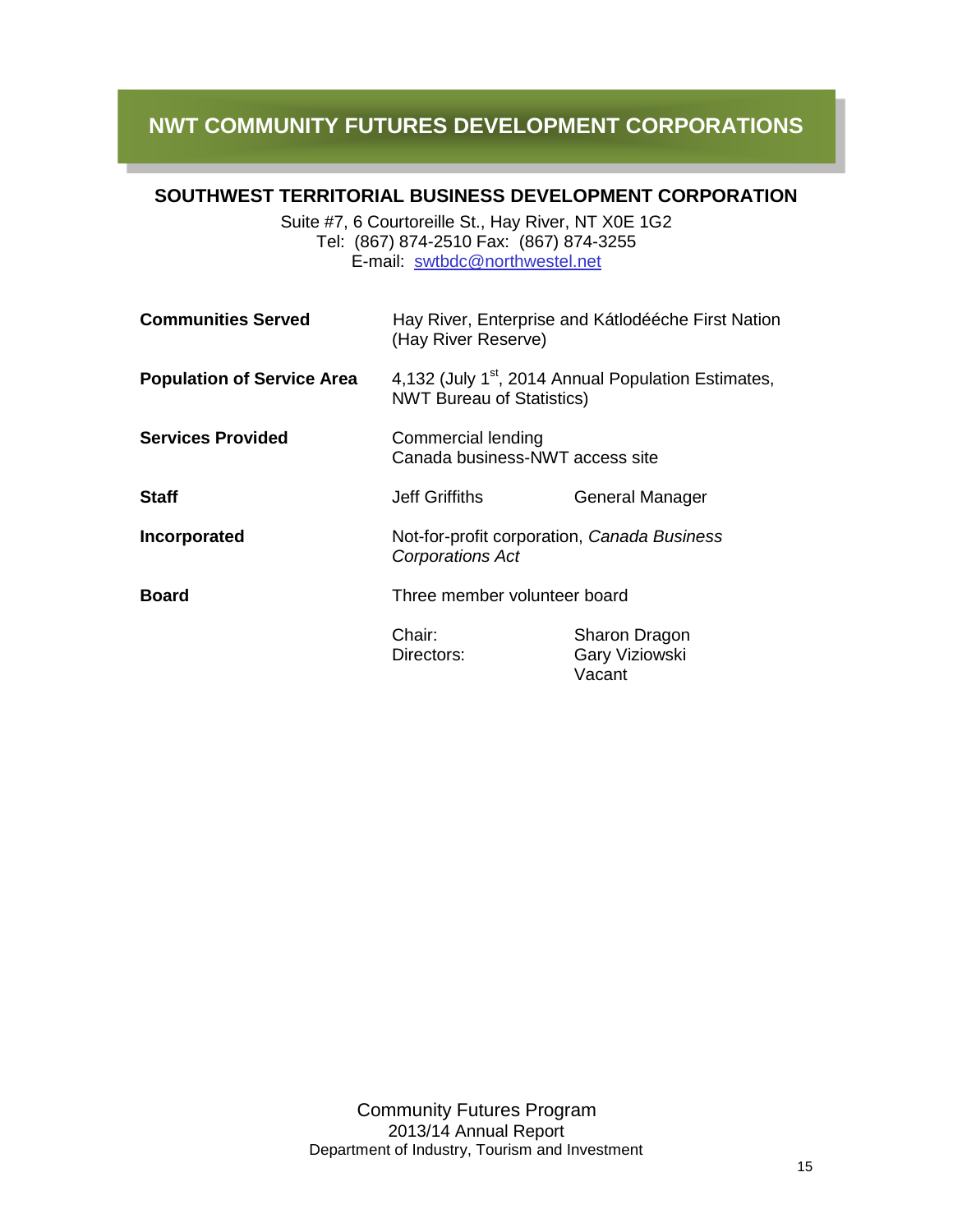#### **SOUTHWEST TERRITORIAL BUSINESS DEVELOPMENT CORPORATION**

l

Suite #7, 6 Courtoreille St., Hay River, NT X0E 1G2 Tel: (867) 874-2510 Fax: (867) 874-3255 E-mail: [swtbdc@northwestel.net](mailto:swtbdc@northwestel.net)

| <b>Communities Served</b>         | Hay River, Enterprise and Kátlodééche First Nation<br>(Hay River Reserve)                           |                                           |
|-----------------------------------|-----------------------------------------------------------------------------------------------------|-------------------------------------------|
| <b>Population of Service Area</b> | 4,132 (July 1 <sup>st</sup> , 2014 Annual Population Estimates,<br><b>NWT Bureau of Statistics)</b> |                                           |
| <b>Services Provided</b>          | Commercial lending<br>Canada business-NWT access site                                               |                                           |
| <b>Staff</b>                      | Jeff Griffiths                                                                                      | <b>General Manager</b>                    |
| Incorporated                      | Not-for-profit corporation, Canada Business<br><b>Corporations Act</b>                              |                                           |
| <b>Board</b>                      | Three member volunteer board                                                                        |                                           |
|                                   | Chair:<br>Directors:                                                                                | Sharon Dragon<br>Gary Viziowski<br>Vacant |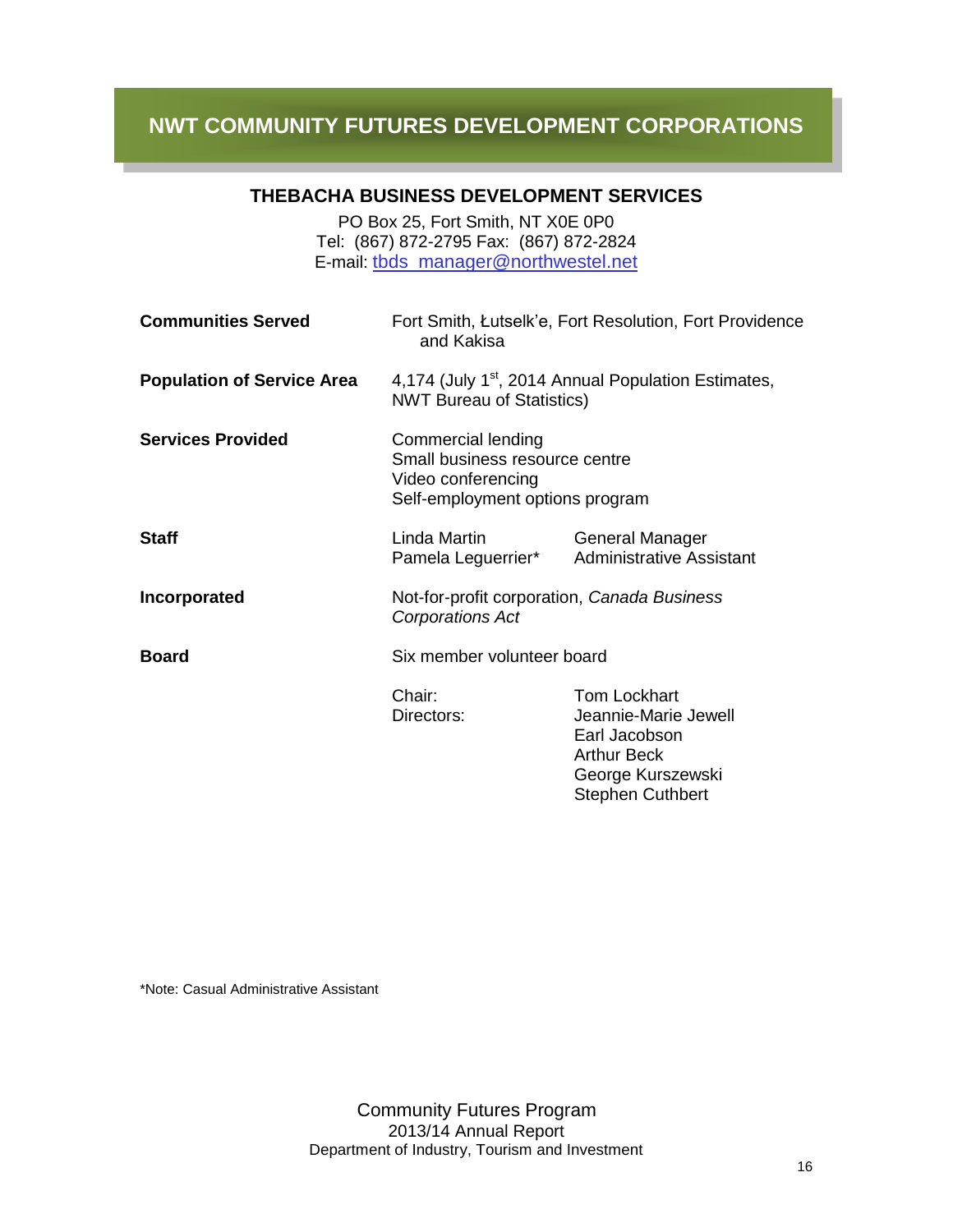l

#### **THEBACHA BUSINESS DEVELOPMENT SERVICES**

PO Box 25, Fort Smith, NT X0E 0P0 Tel: (867) 872-2795 Fax: (867) 872-2824 E-mail: [tbds\\_manager@northwestel.net](mailto:tbds_manager@northwestel.net)

| <b>Communities Served</b>         | Fort Smith, Łutselk'e, Fort Resolution, Fort Providence<br>and Kakisa                                         |                                                                                                                                    |
|-----------------------------------|---------------------------------------------------------------------------------------------------------------|------------------------------------------------------------------------------------------------------------------------------------|
| <b>Population of Service Area</b> | 4,174 (July 1 <sup>st</sup> , 2014 Annual Population Estimates,<br><b>NWT Bureau of Statistics)</b>           |                                                                                                                                    |
| <b>Services Provided</b>          | Commercial lending<br>Small business resource centre<br>Video conferencing<br>Self-employment options program |                                                                                                                                    |
| <b>Staff</b>                      | Linda Martin<br>Pamela Leguerrier*                                                                            | <b>General Manager</b><br><b>Administrative Assistant</b>                                                                          |
| Incorporated                      | Not-for-profit corporation, Canada Business<br><b>Corporations Act</b>                                        |                                                                                                                                    |
| <b>Board</b>                      | Six member volunteer board                                                                                    |                                                                                                                                    |
|                                   | Chair:<br>Directors:                                                                                          | <b>Tom Lockhart</b><br>Jeannie-Marie Jewell<br>Earl Jacobson<br><b>Arthur Beck</b><br>George Kurszewski<br><b>Stephen Cuthbert</b> |

\*Note: Casual Administrative Assistant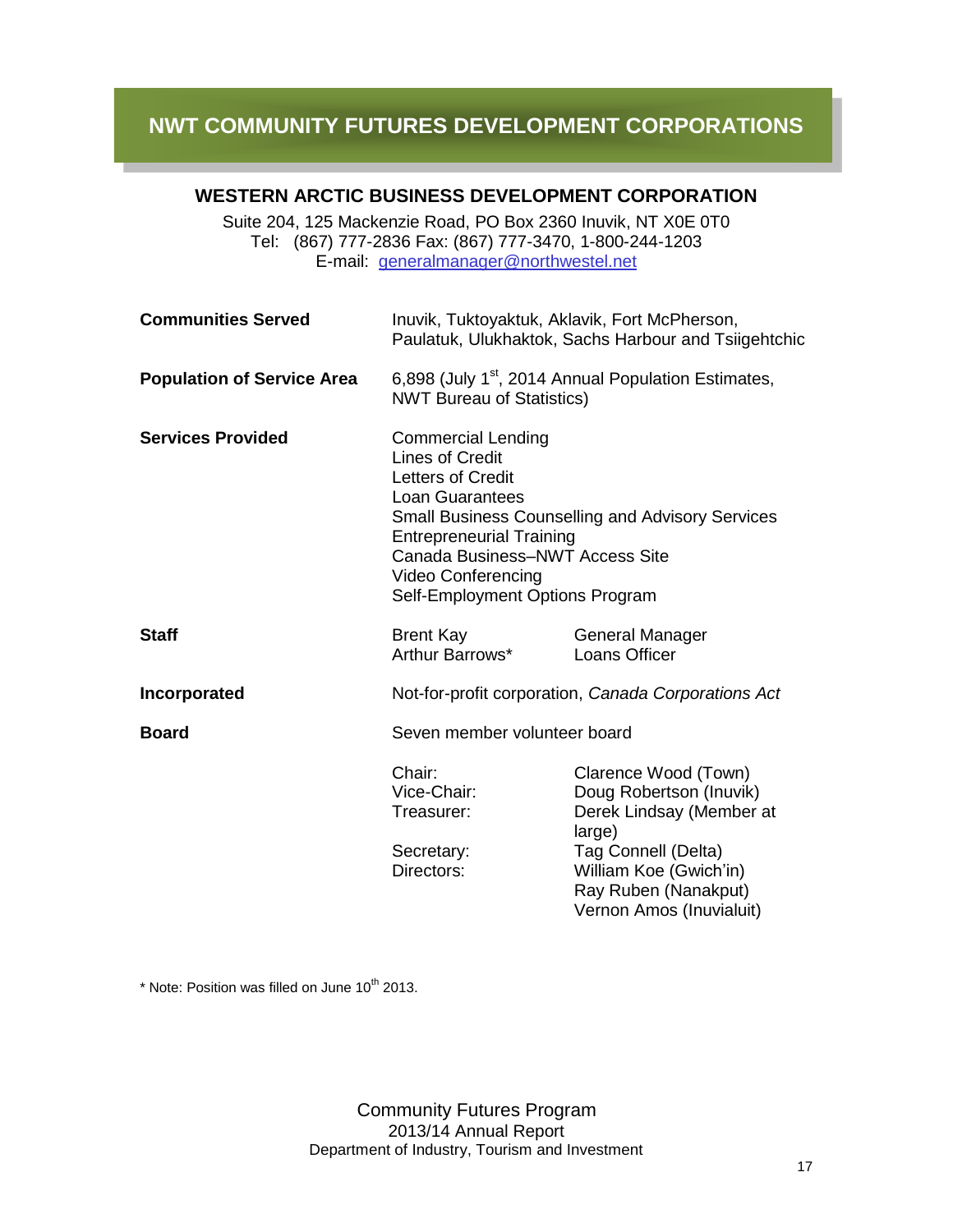l

#### **WESTERN ARCTIC BUSINESS DEVELOPMENT CORPORATION**

Suite 204, 125 Mackenzie Road, PO Box 2360 Inuvik, NT X0E 0T0 Tel: (867) 777-2836 Fax: (867) 777-3470, 1-800-244-1203 E-mail: [generalmanager@northwestel.net](mailto:generalmanager@northwestel.net)

| <b>Communities Served</b>         |                                                                                                                                                                                                                                                                                                     | Inuvik, Tuktoyaktuk, Aklavik, Fort McPherson,<br>Paulatuk, Ulukhaktok, Sachs Harbour and Tsiigehtchic                                                                                      |
|-----------------------------------|-----------------------------------------------------------------------------------------------------------------------------------------------------------------------------------------------------------------------------------------------------------------------------------------------------|--------------------------------------------------------------------------------------------------------------------------------------------------------------------------------------------|
| <b>Population of Service Area</b> | <b>NWT Bureau of Statistics)</b>                                                                                                                                                                                                                                                                    | 6,898 (July 1 <sup>st</sup> , 2014 Annual Population Estimates,                                                                                                                            |
| <b>Services Provided</b>          | <b>Commercial Lending</b><br><b>Lines of Credit</b><br><b>Letters of Credit</b><br><b>Loan Guarantees</b><br><b>Small Business Counselling and Advisory Services</b><br><b>Entrepreneurial Training</b><br>Canada Business-NWT Access Site<br>Video Conferencing<br>Self-Employment Options Program |                                                                                                                                                                                            |
| <b>Staff</b>                      | <b>Brent Kay</b><br>Arthur Barrows*                                                                                                                                                                                                                                                                 | General Manager<br>Loans Officer                                                                                                                                                           |
| Incorporated                      | Not-for-profit corporation, Canada Corporations Act                                                                                                                                                                                                                                                 |                                                                                                                                                                                            |
| <b>Board</b>                      | Seven member volunteer board                                                                                                                                                                                                                                                                        |                                                                                                                                                                                            |
|                                   | Chair:<br>Vice-Chair:<br>Treasurer:<br>Secretary:<br>Directors:                                                                                                                                                                                                                                     | Clarence Wood (Town)<br>Doug Robertson (Inuvik)<br>Derek Lindsay (Member at<br>large)<br>Tag Connell (Delta)<br>William Koe (Gwich'in)<br>Ray Ruben (Nanakput)<br>Vernon Amos (Inuvialuit) |

 $*$  Note: Position was filled on June  $10^{th}$  2013.